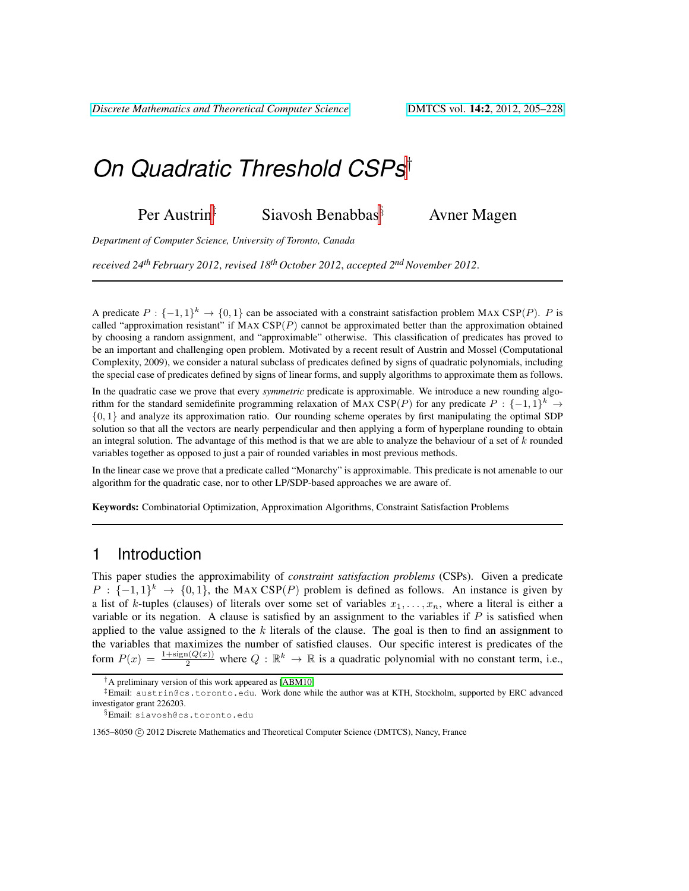Per Austrin<sup>‡</sup> Siavosh Benabbas<sup>§</sup> Avner Magen

*Department of Computer Science, University of Toronto, Canada*

*received 24thFebruary 2012*, *revised 18th October 2012*, *accepted 2ndNovember 2012*.

A predicate  $P: \{-1,1\}^k \to \{0,1\}$  can be associated with a constraint satisfaction problem MAX CSP(P). P is called "approximation resistant" if  $MAX CSP(P)$  cannot be approximated better than the approximation obtained by choosing a random assignment, and "approximable" otherwise. This classification of predicates has proved to be an important and challenging open problem. Motivated by a recent result of Austrin and Mossel (Computational Complexity, 2009), we consider a natural subclass of predicates defined by signs of quadratic polynomials, including the special case of predicates defined by signs of linear forms, and supply algorithms to approximate them as follows.

In the quadratic case we prove that every *symmetric* predicate is approximable. We introduce a new rounding algorithm for the standard semidefinite programming relaxation of MAX CSP(P) for any predicate  $P: \{-1,1\}^k \to$ {0, 1} and analyze its approximation ratio. Our rounding scheme operates by first manipulating the optimal SDP solution so that all the vectors are nearly perpendicular and then applying a form of hyperplane rounding to obtain an integral solution. The advantage of this method is that we are able to analyze the behaviour of a set of  $k$  rounded variables together as opposed to just a pair of rounded variables in most previous methods.

In the linear case we prove that a predicate called "Monarchy" is approximable. This predicate is not amenable to our algorithm for the quadratic case, nor to other LP/SDP-based approaches we are aware of.

Keywords: Combinatorial Optimization, Approximation Algorithms, Constraint Satisfaction Problems

## 1 Introduction

This paper studies the approximability of *constraint satisfaction problems* (CSPs). Given a predicate  $P: \{-1,1\}^k \to \{0,1\}$ , the MAX CSP(P) problem is defined as follows. An instance is given by a list of k-tuples (clauses) of literals over some set of variables  $x_1, \ldots, x_n$ , where a literal is either a variable or its negation. A clause is satisfied by an assignment to the variables if  $P$  is satisfied when applied to the value assigned to the  $k$  literals of the clause. The goal is then to find an assignment to the variables that maximizes the number of satisfied clauses. Our specific interest is predicates of the form  $P(x) = \frac{1+\text{sign}(Q(x))}{2}$  where  $Q : \mathbb{R}^k \to \mathbb{R}$  is a quadratic polynomial with no constant term, i.e.,

§Email: siavosh@cs.toronto.edu

<span id="page-0-0"></span><sup>†</sup>A preliminary version of this work appeared as [\[ABM10\]](#page-21-0)

<sup>‡</sup>Email: austrin@cs.toronto.edu. Work done while the author was at KTH, Stockholm, supported by ERC advanced investigator grant 226203.

<sup>1365–8050 © 2012</sup> Discrete Mathematics and Theoretical Computer Science (DMTCS), Nancy, France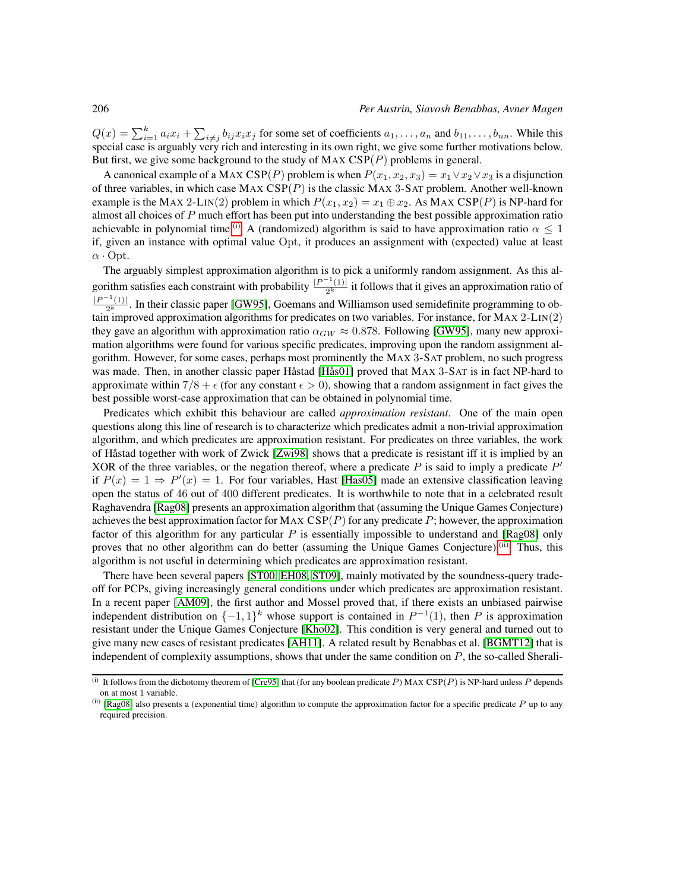$Q(x) = \sum_{i=1}^{k} a_i x_i + \sum_{i \neq j} b_{ij} x_i x_j$  for some set of coefficients  $a_1, \ldots, a_n$  and  $b_{11}, \ldots, b_{nn}$ . While this special case is arguably very rich and interesting in its own right, we give some further motivations below. But first, we give some background to the study of  $MAX CSP(P)$  problems in general.

A canonical example of a MAX CSP(P) problem is when  $P(x_1, x_2, x_3) = x_1 \vee x_2 \vee x_3$  is a disjunction of three variables, in which case MAX  $CSP(P)$  is the classic MAX 3-SAT problem. Another well-known example is the MAX 2-LIN(2) problem in which  $P(x_1, x_2) = x_1 \oplus x_2$ . As MAX CSP(P) is NP-hard for almost all choices of  $P$  much effort has been put into understanding the best possible approximation ratio achievable in polynomial time.<sup>[\(i\)](#page-1-0)</sup> A (randomized) algorithm is said to have approximation ratio  $\alpha \leq 1$ if, given an instance with optimal value Opt, it produces an assignment with (expected) value at least  $\alpha$  · Opt.

The arguably simplest approximation algorithm is to pick a uniformly random assignment. As this algorithm satisfies each constraint with probability  $\frac{|P^{-1}(1)|}{2^k}$  $\frac{1}{2^k}$  it follows that it gives an approximation ratio of  $|P^{-1}(1)|$  $\frac{(1)}{2^k}$ . In their classic paper [\[GW95\]](#page-21-1), Goemans and Williamson used semidefinite programming to obtain improved approximation algorithms for predicates on two variables. For instance, for MAX 2-LIN(2) they gave an algorithm with approximation ratio  $\alpha_{GW} \approx 0.878$ . Following [\[GW95\]](#page-21-1), many new approximation algorithms were found for various specific predicates, improving upon the random assignment algorithm. However, for some cases, perhaps most prominently the MAX 3-SAT problem, no such progress was made. Then, in another classic paper Håstad [Hås01] proved that MAX 3-SAT is in fact NP-hard to approximate within  $7/8 + \epsilon$  (for any constant  $\epsilon > 0$ ), showing that a random assignment in fact gives the best possible worst-case approximation that can be obtained in polynomial time.

Predicates which exhibit this behaviour are called *approximation resistant*. One of the main open questions along this line of research is to characterize which predicates admit a non-trivial approximation algorithm, and which predicates are approximation resistant. For predicates on three variables, the work of Håstad together with work of Zwick [\[Zwi98\]](#page-21-3) shows that a predicate is resistant iff it is implied by an XOR of the three variables, or the negation thereof, where a predicate  $P$  is said to imply a predicate  $P'$ if  $P(x) = 1 \Rightarrow P'(x) = 1$ . For four variables, Hast [\[Has05\]](#page-21-4) made an extensive classification leaving open the status of 46 out of 400 different predicates. It is worthwhile to note that in a celebrated result Raghavendra [\[Rag08\]](#page-21-5) presents an approximation algorithm that (assuming the Unique Games Conjecture) achieves the best approximation factor for MAX  $CSP(P)$  for any predicate P; however, the approximation factor of this algorithm for any particular P is essentially impossible to understand and [\[Rag08\]](#page-21-5) only proves that no other algorithm can do better (assuming the Unique Games Conjecture).<sup>[\(ii\)](#page-1-1)</sup> Thus, this algorithm is not useful in determining which predicates are approximation resistant.

There have been several papers [\[ST00,](#page-21-6) [EH08,](#page-21-7) [ST09\]](#page-21-8), mainly motivated by the soundness-query tradeoff for PCPs, giving increasingly general conditions under which predicates are approximation resistant. In a recent paper [\[AM09\]](#page-21-9), the first author and Mossel proved that, if there exists an unbiased pairwise independent distribution on  $\{-1,1\}^k$  whose support is contained in  $P^{-1}(1)$ , then P is approximation resistant under the Unique Games Conjecture [\[Kho02\]](#page-21-10). This condition is very general and turned out to give many new cases of resistant predicates [\[AH11\]](#page-21-11). A related result by Benabbas et al. [\[BGMT12\]](#page-21-12) that is independent of complexity assumptions, shows that under the same condition on  $P$ , the so-called Sherali-

<span id="page-1-0"></span><sup>(</sup>i) It follows from the dichotomy theorem of [\[Cre95\]](#page-21-13) that (for any boolean predicate P) MAX CSP(P) is NP-hard unless P depends on at most 1 variable.

<span id="page-1-1"></span> $^{(ii)}$  [\[Rag08\]](#page-21-5) also presents a (exponential time) algorithm to compute the approximation factor for a specific predicate  $P$  up to any required precision.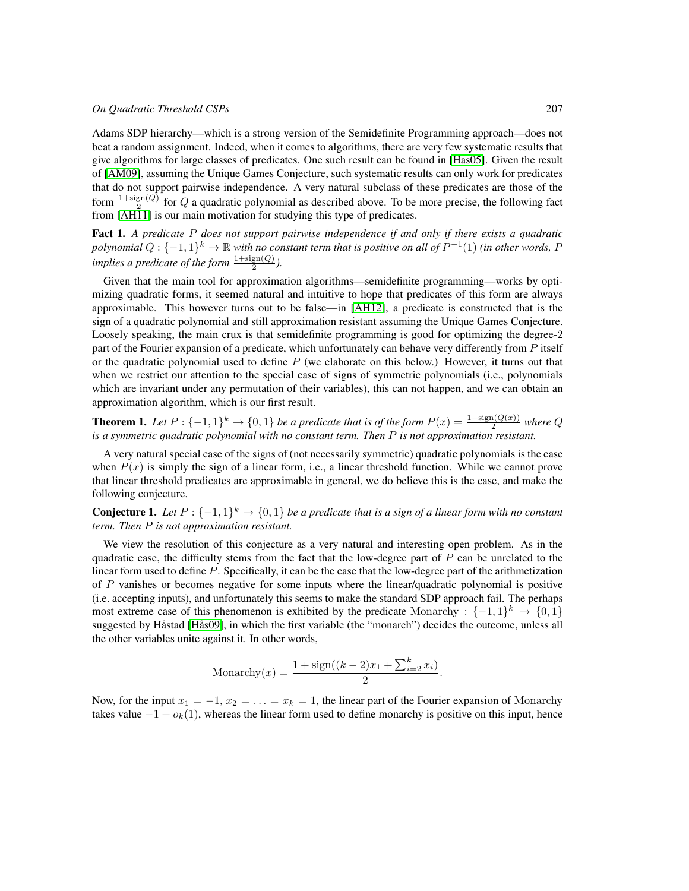Adams SDP hierarchy—which is a strong version of the Semidefinite Programming approach—does not beat a random assignment. Indeed, when it comes to algorithms, there are very few systematic results that give algorithms for large classes of predicates. One such result can be found in [\[Has05\]](#page-21-4). Given the result of [\[AM09\]](#page-21-9), assuming the Unique Games Conjecture, such systematic results can only work for predicates that do not support pairwise independence. A very natural subclass of these predicates are those of the form  $\frac{1+\text{sign}(Q)}{2}$  for Q a quadratic polynomial as described above. To be more precise, the following fact from  $[AH\overline{1}1]$  is our main motivation for studying this type of predicates.

Fact 1. *A predicate* P *does not support pairwise independence if and only if there exists a quadratic*  $p$ *olynomial*  $Q: \{-1,1\}^k \to \mathbb{R}$  *with no constant term that is positive on all of*  $P^{-1}(1)$  *(in other words, P implies a predicate of the form*  $\frac{1+\text{sign}(Q)}{2}$ *).* 

Given that the main tool for approximation algorithms—semidefinite programming—works by optimizing quadratic forms, it seemed natural and intuitive to hope that predicates of this form are always approximable. This however turns out to be false—in [\[AH12\]](#page-21-14), a predicate is constructed that is the sign of a quadratic polynomial and still approximation resistant assuming the Unique Games Conjecture. Loosely speaking, the main crux is that semidefinite programming is good for optimizing the degree-2 part of the Fourier expansion of a predicate, which unfortunately can behave very differently from P itself or the quadratic polynomial used to define  $P$  (we elaborate on this below.) However, it turns out that when we restrict our attention to the special case of signs of symmetric polynomials (i.e., polynomials which are invariant under any permutation of their variables), this can not happen, and we can obtain an approximation algorithm, which is our first result.

<span id="page-2-1"></span>**Theorem 1.** Let  $P: \{-1,1\}^k \to \{0,1\}$  be a predicate that is of the form  $P(x) = \frac{1+\text{sign}(Q(x))}{2}$  where Q *is a symmetric quadratic polynomial with no constant term. Then* P *is not approximation resistant.*

A very natural special case of the signs of (not necessarily symmetric) quadratic polynomials is the case when  $P(x)$  is simply the sign of a linear form, i.e., a linear threshold function. While we cannot prove that linear threshold predicates are approximable in general, we do believe this is the case, and make the following conjecture.

<span id="page-2-0"></span>**Conjecture 1.** Let  $P: \{-1,1\}^k \to \{0,1\}$  be a predicate that is a sign of a linear form with no constant *term. Then* P *is not approximation resistant.*

We view the resolution of this conjecture as a very natural and interesting open problem. As in the quadratic case, the difficulty stems from the fact that the low-degree part of  $P$  can be unrelated to the linear form used to define P. Specifically, it can be the case that the low-degree part of the arithmetization of P vanishes or becomes negative for some inputs where the linear/quadratic polynomial is positive (i.e. accepting inputs), and unfortunately this seems to make the standard SDP approach fail. The perhaps most extreme case of this phenomenon is exhibited by the predicate Monarchy :  $\{-1,1\}^k \rightarrow \{0,1\}$ suggested by Håstad [Hås09], in which the first variable (the "monarch") decides the outcome, unless all the other variables unite against it. In other words,

$$
\text{Monarchy}(x) = \frac{1 + \text{sign}((k-2)x_1 + \sum_{i=2}^{k} x_i)}{2}.
$$

Now, for the input  $x_1 = -1$ ,  $x_2 = \ldots = x_k = 1$ , the linear part of the Fourier expansion of Monarchy takes value  $-1 + o_k(1)$ , whereas the linear form used to define monarchy is positive on this input, hence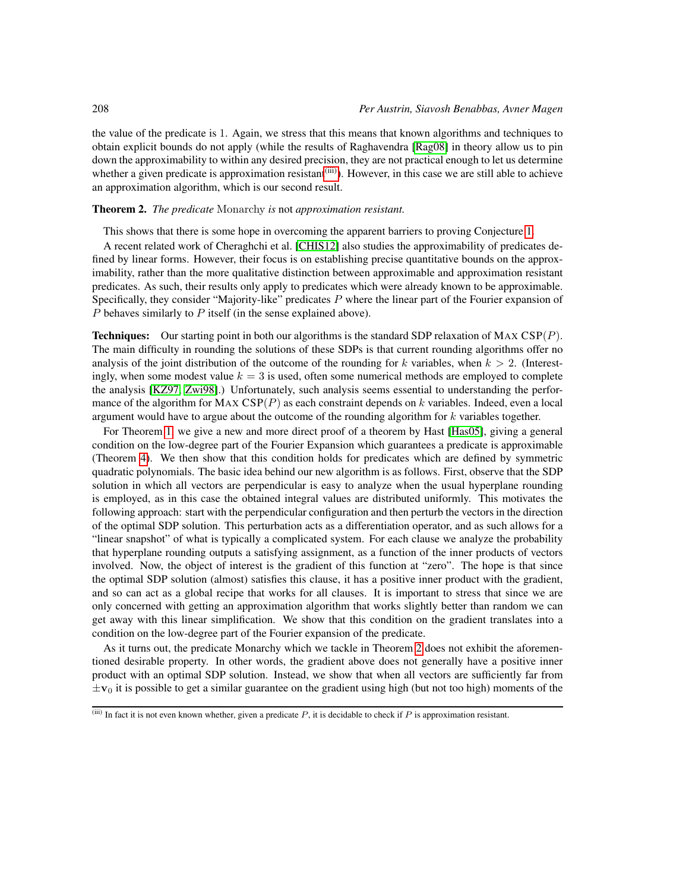the value of the predicate is 1. Again, we stress that this means that known algorithms and techniques to obtain explicit bounds do not apply (while the results of Raghavendra [\[Rag08\]](#page-21-5) in theory allow us to pin down the approximability to within any desired precision, they are not practical enough to let us determine whether a given predicate is approximation resistant<sup>[\(iii\)](#page-3-0)</sup>). However, in this case we are still able to achieve an approximation algorithm, which is our second result.

#### <span id="page-3-1"></span>Theorem 2. *The predicate* Monarchy *is* not *approximation resistant.*

This shows that there is some hope in overcoming the apparent barriers to proving Conjecture [1.](#page-2-0)

A recent related work of Cheraghchi et al. [\[CHIS12\]](#page-21-16) also studies the approximability of predicates defined by linear forms. However, their focus is on establishing precise quantitative bounds on the approximability, rather than the more qualitative distinction between approximable and approximation resistant predicates. As such, their results only apply to predicates which were already known to be approximable. Specifically, they consider "Majority-like" predicates P where the linear part of the Fourier expansion of  $P$  behaves similarly to  $P$  itself (in the sense explained above).

**Techniques:** Our starting point in both our algorithms is the standard SDP relaxation of MAX  $CSP(P)$ . The main difficulty in rounding the solutions of these SDPs is that current rounding algorithms offer no analysis of the joint distribution of the outcome of the rounding for k variables, when  $k > 2$ . (Interestingly, when some modest value  $k = 3$  is used, often some numerical methods are employed to complete the analysis [\[KZ97,](#page-21-17) [Zwi98\]](#page-21-3).) Unfortunately, such analysis seems essential to understanding the performance of the algorithm for MAX  $CSP(P)$  as each constraint depends on k variables. Indeed, even a local argument would have to argue about the outcome of the rounding algorithm for  $k$  variables together.

For Theorem [1,](#page-2-1) we give a new and more direct proof of a theorem by Hast [\[Has05\]](#page-21-4), giving a general condition on the low-degree part of the Fourier Expansion which guarantees a predicate is approximable (Theorem [4\)](#page-9-0). We then show that this condition holds for predicates which are defined by symmetric quadratic polynomials. The basic idea behind our new algorithm is as follows. First, observe that the SDP solution in which all vectors are perpendicular is easy to analyze when the usual hyperplane rounding is employed, as in this case the obtained integral values are distributed uniformly. This motivates the following approach: start with the perpendicular configuration and then perturb the vectors in the direction of the optimal SDP solution. This perturbation acts as a differentiation operator, and as such allows for a "linear snapshot" of what is typically a complicated system. For each clause we analyze the probability that hyperplane rounding outputs a satisfying assignment, as a function of the inner products of vectors involved. Now, the object of interest is the gradient of this function at "zero". The hope is that since the optimal SDP solution (almost) satisfies this clause, it has a positive inner product with the gradient, and so can act as a global recipe that works for all clauses. It is important to stress that since we are only concerned with getting an approximation algorithm that works slightly better than random we can get away with this linear simplification. We show that this condition on the gradient translates into a condition on the low-degree part of the Fourier expansion of the predicate.

As it turns out, the predicate Monarchy which we tackle in Theorem [2](#page-3-1) does not exhibit the aforementioned desirable property. In other words, the gradient above does not generally have a positive inner product with an optimal SDP solution. Instead, we show that when all vectors are sufficiently far from  $\pm v_0$  it is possible to get a similar guarantee on the gradient using high (but not too high) moments of the

<span id="page-3-0"></span><sup>(</sup>iii) In fact it is not even known whether, given a predicate  $P$ , it is decidable to check if  $P$  is approximation resistant.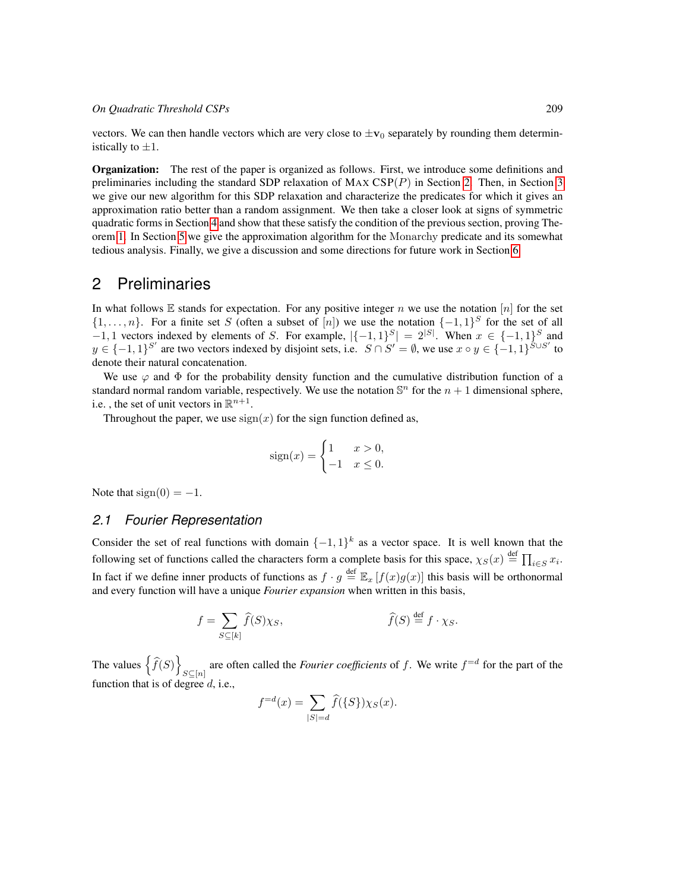vectors. We can then handle vectors which are very close to  $\pm v_0$  separately by rounding them deterministically to  $\pm 1$ .

**Organization:** The rest of the paper is organized as follows. First, we introduce some definitions and preliminaries including the standard SDP relaxation of MAX  $CSP(P)$  in Section [2.](#page-4-0) Then, in Section [3](#page-6-0) we give our new algorithm for this SDP relaxation and characterize the predicates for which it gives an approximation ratio better than a random assignment. We then take a closer look at signs of symmetric quadratic forms in Section [4](#page-12-0) and show that these satisfy the condition of the previous section, proving Theorem [1.](#page-2-1) In Section [5](#page-14-0) we give the approximation algorithm for the Monarchy predicate and its somewhat tedious analysis. Finally, we give a discussion and some directions for future work in Section [6.](#page-20-0)

## <span id="page-4-0"></span>2 Preliminaries

In what follows  $E$  stands for expectation. For any positive integer n we use the notation  $[n]$  for the set  $\{1,\ldots,n\}$ . For a finite set S (often a subset of  $[n]$ ) we use the notation  $\{-1,1\}^S$  for the set of all  $-1, 1$  vectors indexed by elements of S. For example,  $|\{-1, 1\}^S| = 2^{|S|}$ . When  $x \in \{-1, 1\}^S$  and  $y \in \{-1,1\}^{S'}$  are two vectors indexed by disjoint sets, i.e.  $S \cap S' = \emptyset$ , we use  $x \circ y \in \{-1,1\}^{S \cup S'}$  to denote their natural concatenation.

We use  $\varphi$  and  $\Phi$  for the probability density function and the cumulative distribution function of a standard normal random variable, respectively. We use the notation  $\mathbb{S}^n$  for the  $n + 1$  dimensional sphere, i.e., the set of unit vectors in  $\mathbb{R}^{n+1}$ .

Throughout the paper, we use  $sign(x)$  for the sign function defined as,

$$
sign(x) = \begin{cases} 1 & x > 0, \\ -1 & x \le 0. \end{cases}
$$

Note that  $sign(0) = -1$ .

#### *2.1 Fourier Representation*

Consider the set of real functions with domain  $\{-1,1\}^k$  as a vector space. It is well known that the following set of functions called the characters form a complete basis for this space,  $\chi_S(x) \stackrel{\text{def}}{=} \prod_{i \in S} x_i$ . In fact if we define inner products of functions as  $f \cdot g \stackrel{\text{def}}{=} \mathbb{E}_x [f(x)g(x)]$  this basis will be orthonormal and every function will have a unique *Fourier expansion* when written in this basis,

$$
f = \sum_{S \subseteq [k]} \widehat{f}(S) \chi_S, \qquad \qquad \widehat{f}(S) \stackrel{\text{def}}{=} f \cdot \chi_S.
$$

The values  $\left\{\widehat{f}(S)\right\}$ are often called the *Fourier coefficients* of f. We write  $f = d$  for the part of the school. function that is of degree  $d$ , i.e.,

$$
f^{=d}(x) = \sum_{|S|=d} \widehat{f}(\{S\}) \chi_S(x).
$$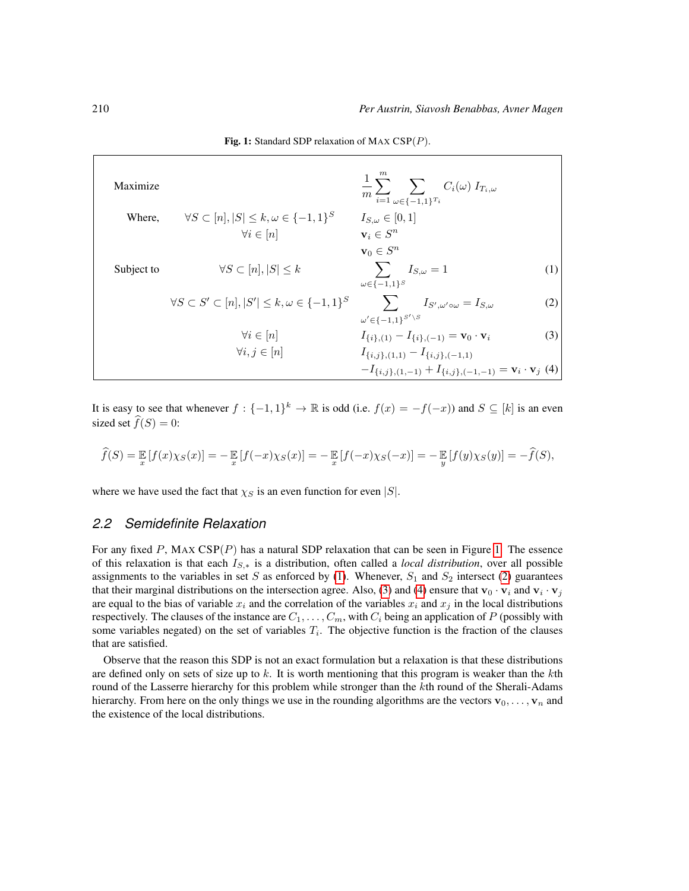<span id="page-5-0"></span>

| Maximize   |                                                                        | $\frac{1}{m} \sum_{i=1}^{m} \sum_{\omega \in \{-1,1\}^{T_i}} C_i(\omega) I_{T_i,\omega}$ |     |
|------------|------------------------------------------------------------------------|------------------------------------------------------------------------------------------|-----|
| Where,     | $\forall S \subset [n],  S  \leq k, \omega \in \{-1,1\}^S$             | $I_{S,\omega} \in [0,1]$                                                                 |     |
|            | $\forall i \in [n]$                                                    | $\mathbf{v}_i \in S^n$                                                                   |     |
|            |                                                                        | $\mathbf{v}_0 \in S^n$                                                                   |     |
| Subject to | $\forall S \subset [n],  S  \leq k$                                    | $\sum_{\alpha} I_{S,\omega} = 1$                                                         | (1) |
|            |                                                                        | $\omega \in \{-1,1\}^S$                                                                  |     |
|            | $\forall S \subset S' \subset [n],  S'  \leq k, \omega \in \{-1,1\}^S$ | $\sum_{\omega} I_{S',\omega'\circ\omega} = I_{S,\omega}$                                 | (2) |
|            |                                                                        | $\omega' \in \{-1,1\}^{S' \setminus S}$                                                  |     |
|            | $\forall i \in [n]$                                                    | $I_{\{i\},(1)} - I_{\{i\},(-1)} = \mathbf{v}_0 \cdot \mathbf{v}_i$                       | (3) |
|            | $\forall i, j \in [n]$                                                 | $I_{\{i,j\},(1,1)} - I_{\{i,j\},(-1,1)}$                                                 |     |
|            |                                                                        | $-I_{\{i,j\},(1,-1)} + I_{\{i,j\},(-1,-1)} = \mathbf{v}_i \cdot \mathbf{v}_j$ (4)        |     |

Fig. 1: Standard SDP relaxation of MAX  $CSP(P)$ .

It is easy to see that whenever  $f: \{-1,1\}^k \to \mathbb{R}$  is odd (i.e.  $f(x) = -f(-x)$ ) and  $S \subseteq [k]$  is an even sized set  $\widehat{f}(S) = 0$ :

$$
\widehat{f}(S) = \mathbb{E}_{x}[f(x)\chi_{S}(x)] = -\mathbb{E}_{x}[f(-x)\chi_{S}(x)] = -\mathbb{E}_{x}[f(-x)\chi_{S}(-x)] = -\mathbb{E}_{y}[f(y)\chi_{S}(y)] = -\widehat{f}(S),
$$

where we have used the fact that  $\chi_S$  is an even function for even  $|S|$ .

#### *2.2 Semidefinite Relaxation*

For any fixed P, MAX  $CSP(P)$  has a natural SDP relaxation that can be seen in Figure [1.](#page-5-0) The essence of this relaxation is that each IS,<sup>∗</sup> is a distribution, often called a *local distribution*, over all possible assignments to the variables in set S as enforced by [\(1\)](#page-5-0). Whenever,  $S_1$  and  $S_2$  intersect [\(2\)](#page-5-0) guarantees that their marginal distributions on the intersection agree. Also, [\(3\)](#page-5-0) and [\(4\)](#page-5-0) ensure that  $v_0 \cdot v_i$  and  $v_i \cdot v_j$ are equal to the bias of variable  $x_i$  and the correlation of the variables  $x_i$  and  $x_j$  in the local distributions respectively. The clauses of the instance are  $C_1, \ldots, C_m$ , with  $C_i$  being an application of P (possibly with some variables negated) on the set of variables  $T_i$ . The objective function is the fraction of the clauses that are satisfied.

Observe that the reason this SDP is not an exact formulation but a relaxation is that these distributions are defined only on sets of size up to  $k$ . It is worth mentioning that this program is weaker than the  $k$ th round of the Lasserre hierarchy for this problem while stronger than the kth round of the Sherali-Adams hierarchy. From here on the only things we use in the rounding algorithms are the vectors  $\mathbf{v}_0, \ldots, \mathbf{v}_n$  and the existence of the local distributions.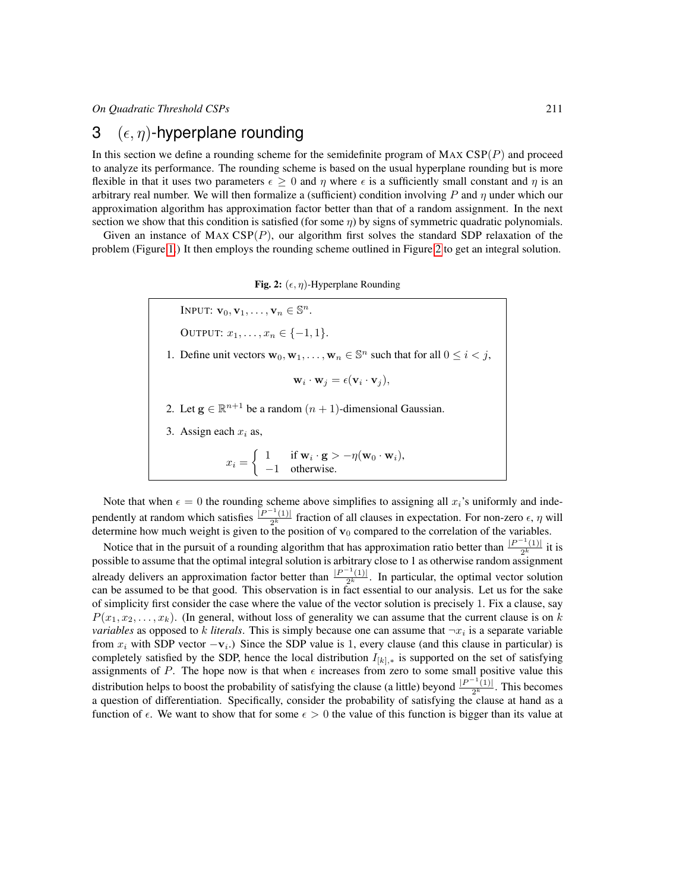# <span id="page-6-0"></span>3  $(\epsilon, \eta)$ -hyperplane rounding

In this section we define a rounding scheme for the semidefinite program of  $MAX CSP(P)$  and proceed to analyze its performance. The rounding scheme is based on the usual hyperplane rounding but is more flexible in that it uses two parameters  $\epsilon \geq 0$  and  $\eta$  where  $\epsilon$  is a sufficiently small constant and  $\eta$  is an arbitrary real number. We will then formalize a (sufficient) condition involving P and  $\eta$  under which our approximation algorithm has approximation factor better than that of a random assignment. In the next section we show that this condition is satisfied (for some  $\eta$ ) by signs of symmetric quadratic polynomials.

Given an instance of MAX  $CSP(P)$ , our algorithm first solves the standard SDP relaxation of the problem (Figure [1.](#page-5-0)) It then employs the rounding scheme outlined in Figure [2](#page-6-1) to get an integral solution.

<span id="page-6-1"></span>Fig. 2:  $(\epsilon, \eta)$ -Hyperplane Rounding

| INPUT: $\mathbf{v}_0, \mathbf{v}_1, \dots, \mathbf{v}_n \in \mathbb{S}^n$ .                                                                        |  |  |  |
|----------------------------------------------------------------------------------------------------------------------------------------------------|--|--|--|
| OUTPUT: $x_1, \ldots, x_n \in \{-1, 1\}.$                                                                                                          |  |  |  |
| 1. Define unit vectors $\mathbf{w}_0, \mathbf{w}_1, \dots, \mathbf{w}_n \in \mathbb{S}^n$ such that for all $0 \le i < j$ ,                        |  |  |  |
| $\mathbf{w}_i \cdot \mathbf{w}_j = \epsilon (\mathbf{v}_i \cdot \mathbf{v}_j),$                                                                    |  |  |  |
| 2. Let $g \in \mathbb{R}^{n+1}$ be a random $(n + 1)$ -dimensional Gaussian.                                                                       |  |  |  |
| 3. Assign each $x_i$ as,                                                                                                                           |  |  |  |
| $x_i = \begin{cases} 1 & \text{if } \mathbf{w}_i \cdot \mathbf{g} > -\eta(\mathbf{w}_0 \cdot \mathbf{w}_i), \\ -1 & \text{otherwise.} \end{cases}$ |  |  |  |

Note that when  $\epsilon = 0$  the rounding scheme above simplifies to assigning all  $x_i$ 's uniformly and independently at random which satisfies  $\frac{|P^{-1}(1)|}{2^k}$  $\frac{1}{2^k}$  fraction of all clauses in expectation. For non-zero  $\epsilon$ ,  $\eta$  will determine how much weight is given to the position of  $\mathbf{v}_0$  compared to the correlation of the variables.

Notice that in the pursuit of a rounding algorithm that has approximation ratio better than  $\frac{|P^{-1}(1)|}{2^k}$  $\frac{1}{2^k}$  it is possible to assume that the optimal integral solution is arbitrary close to 1 as otherwise random assignment already delivers an approximation factor better than  $\frac{|P^{-1}(1)|}{2^k}$  $\frac{1}{2^k}$ . In particular, the optimal vector solution can be assumed to be that good. This observation is in fact essential to our analysis. Let us for the sake of simplicity first consider the case where the value of the vector solution is precisely 1. Fix a clause, say  $P(x_1, x_2, \ldots, x_k)$ . (In general, without loss of generality we can assume that the current clause is on k *variables* as opposed to *k literals*. This is simply because one can assume that  $\neg x_i$  is a separate variable from  $x_i$  with SDP vector  $-\mathbf{v}_i$ .) Since the SDP value is 1, every clause (and this clause in particular) is completely satisfied by the SDP, hence the local distribution  $I_{[k],*}$  is supported on the set of satisfying assignments of P. The hope now is that when  $\epsilon$  increases from zero to some small positive value this distribution helps to boost the probability of satisfying the clause (a little) beyond  $\frac{|P^{-1}(1)|}{2^k}$  $\frac{1}{2^k}$ . This becomes a question of differentiation. Specifically, consider the probability of satisfying the clause at hand as a function of  $\epsilon$ . We want to show that for some  $\epsilon > 0$  the value of this function is bigger than its value at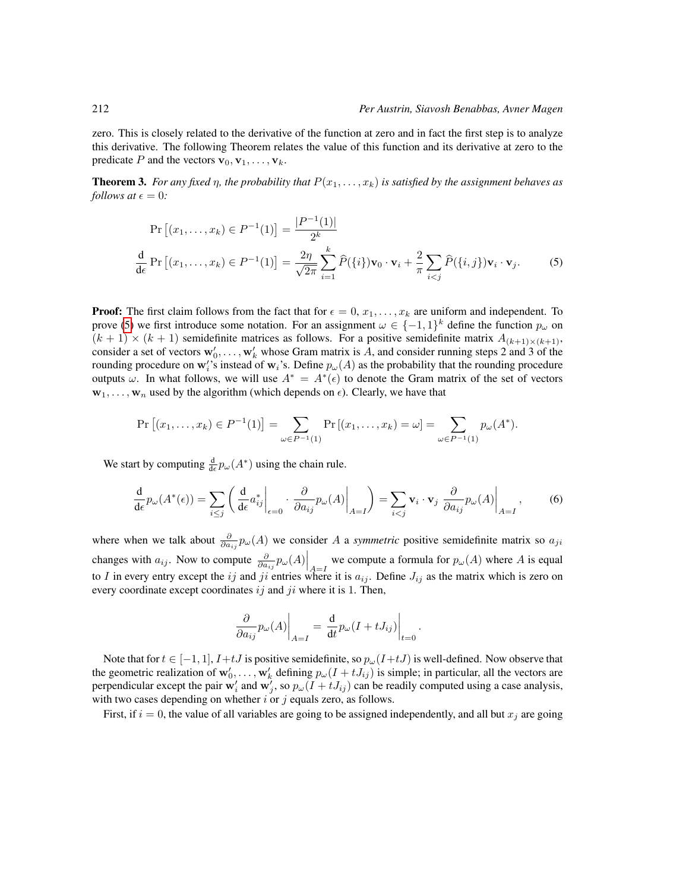zero. This is closely related to the derivative of the function at zero and in fact the first step is to analyze this derivative. The following Theorem relates the value of this function and its derivative at zero to the predicate P and the vectors  $\mathbf{v}_0, \mathbf{v}_1, \dots, \mathbf{v}_k$ .

<span id="page-7-2"></span>**Theorem 3.** *For any fixed*  $\eta$ *, the probability that*  $P(x_1, \ldots, x_k)$  *is satisfied by the assignment behaves as follows at*  $\epsilon = 0$ *:* 

$$
\Pr\left[(x_1, \dots, x_k) \in P^{-1}(1)\right] = \frac{|P^{-1}(1)|}{2^k}
$$
\n
$$
\frac{d}{d\epsilon} \Pr\left[(x_1, \dots, x_k) \in P^{-1}(1)\right] = \frac{2\eta}{\sqrt{2\pi}} \sum_{i=1}^k \hat{P}(\{i\}) \mathbf{v}_0 \cdot \mathbf{v}_i + \frac{2}{\pi} \sum_{i < j} \hat{P}(\{i, j\}) \mathbf{v}_i \cdot \mathbf{v}_j. \tag{5}
$$

**Proof:** The first claim follows from the fact that for  $\epsilon = 0, x_1, \ldots, x_k$  are uniform and independent. To prove [\(5\)](#page-7-0) we first introduce some notation. For an assignment  $\omega \in \{-1,1\}^k$  define the function  $p_{\omega}$  on  $(k + 1) \times (k + 1)$  semidefinite matrices as follows. For a positive semidefinite matrix  $A_{(k+1)\times (k+1)}$ , consider a set of vectors  $w'_0, \ldots, w'_k$  whose Gram matrix is A, and consider running steps 2 and 3 of the rounding procedure on  $w_i$ 's instead of  $w_i$ 's. Define  $p_\omega(A)$  as the probability that the rounding procedure outputs  $\omega$ . In what follows, we will use  $A^* = A^*(\epsilon)$  to denote the Gram matrix of the set of vectors  $\mathbf{w}_1, \ldots, \mathbf{w}_n$  used by the algorithm (which depends on  $\epsilon$ ). Clearly, we have that

$$
\Pr\left[(x_1,\ldots,x_k)\in P^{-1}(1)\right]=\sum_{\omega\in P^{-1}(1)}\Pr\left[(x_1,\ldots,x_k)=\omega\right]=\sum_{\omega\in P^{-1}(1)}p_{\omega}(A^*).
$$

We start by computing  $\frac{d}{d\varepsilon} p_\omega(A^*)$  using the chain rule.

$$
\frac{\mathrm{d}}{\mathrm{d}\epsilon}p_{\omega}(A^*(\epsilon)) = \sum_{i \le j} \left( \frac{\mathrm{d}}{\mathrm{d}\epsilon} a_{ij}^* \bigg|_{\epsilon=0} \cdot \frac{\partial}{\partial a_{ij}} p_{\omega}(A) \bigg|_{A=I} \right) = \sum_{i < j} \mathbf{v}_i \cdot \mathbf{v}_j \left. \frac{\partial}{\partial a_{ij}} p_{\omega}(A) \bigg|_{A=I},\tag{6}
$$

where when we talk about  $\frac{\partial}{\partial a_{ij}} p_\omega(A)$  we consider A a *symmetric* positive semidefinite matrix so  $a_{ji}$ changes with  $a_{ij}$ . Now to compute  $\frac{\partial}{\partial a_{ij}} p_\omega(A) \Big|_{A=I}$  we compute a formula for  $p_\omega(A)$  where A is equal to I in every entry except the ij and ji entries where it is  $a_{ij}$ . Define  $J_{ij}$  as the matrix which is zero on every coordinate except coordinates  $ij$  and  $ji$  where it is 1. Then,

$$
\left. \frac{\partial}{\partial a_{ij}} p_{\omega}(A) \right|_{A=I} = \left. \frac{\mathrm{d}}{\mathrm{d}t} p_{\omega}(I + tJ_{ij}) \right|_{t=0}
$$

<span id="page-7-1"></span><span id="page-7-0"></span>.

Note that for  $t \in [-1, 1], I+tJ$  is positive semidefinite, so  $p_{\omega}(I+tJ)$  is well-defined. Now observe that the geometric realization of  $w'_0, \ldots, w'_k$  defining  $p_\omega(I + tJ_{ij})$  is simple; in particular, all the vectors are perpendicular except the pair  $w'_i$  and  $w'_j$ , so  $p_\omega(I + tJ_{ij})$  can be readily computed using a case analysis, with two cases depending on whether  $i$  or  $j$  equals zero, as follows.

First, if  $i = 0$ , the value of all variables are going to be assigned independently, and all but  $x_i$  are going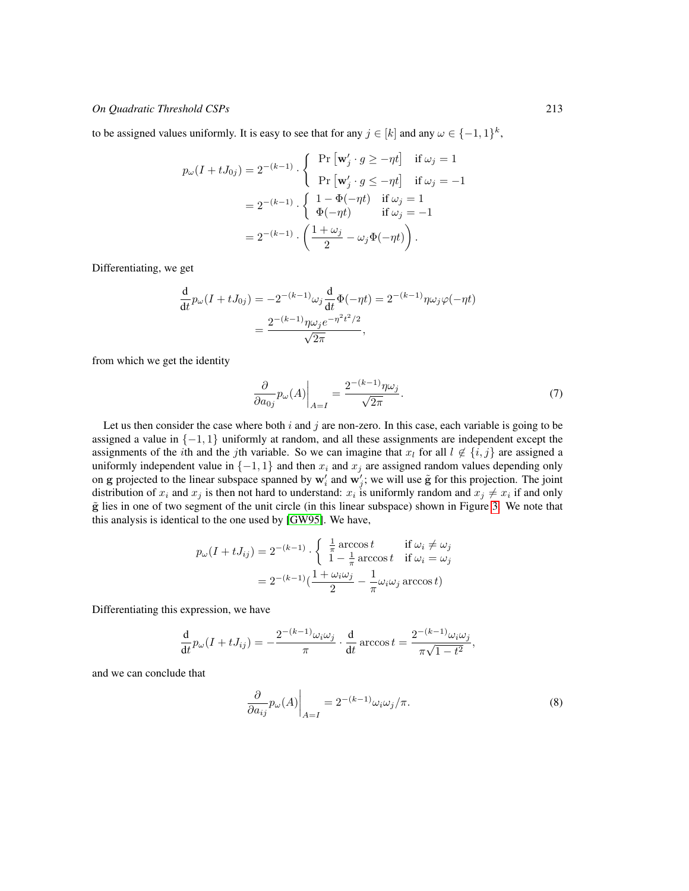to be assigned values uniformly. It is easy to see that for any  $j \in [k]$  and any  $\omega \in \{-1,1\}^k$ ,

$$
p_{\omega}(I + tJ_{0j}) = 2^{-(k-1)} \cdot \begin{cases} \Pr[\mathbf{w}'_j \cdot g \ge -\eta t] & \text{if } \omega_j = 1 \\ \Pr[\mathbf{w}'_j \cdot g \le -\eta t] & \text{if } \omega_j = -1 \end{cases}
$$

$$
= 2^{-(k-1)} \cdot \begin{cases} 1 - \Phi(-\eta t) & \text{if } \omega_j = 1 \\ \Phi(-\eta t) & \text{if } \omega_j = -1 \end{cases}
$$

$$
= 2^{-(k-1)} \cdot \left(\frac{1 + \omega_j}{2} - \omega_j \Phi(-\eta t)\right).
$$

Differentiating, we get

$$
\frac{d}{dt}p_{\omega}(I + tJ_{0j}) = -2^{-(k-1)}\omega_j \frac{d}{dt}\Phi(-\eta t) = 2^{-(k-1)}\eta\omega_j\varphi(-\eta t)
$$

$$
= \frac{2^{-(k-1)}\eta\omega_j e^{-\eta^2 t^2/2}}{\sqrt{2\pi}},
$$

from which we get the identity

<span id="page-8-0"></span>
$$
\left. \frac{\partial}{\partial a_{0j}} p_{\omega}(A) \right|_{A=I} = \frac{2^{-(k-1)} \eta \omega_j}{\sqrt{2\pi}}.
$$
\n(7)

Let us then consider the case where both  $i$  and  $j$  are non-zero. In this case, each variable is going to be assigned a value in  $\{-1, 1\}$  uniformly at random, and all these assignments are independent except the assignments of the *i*th and the *j*th variable. So we can imagine that  $x_l$  for all  $l \notin \{i, j\}$  are assigned a uniformly independent value in  $\{-1, 1\}$  and then  $x_i$  and  $x_j$  are assigned random values depending only on g projected to the linear subspace spanned by  $w'_i$  and  $w'_j$ ; we will use  $\tilde{g}$  for this projection. The joint distribution of  $x_i$  and  $x_j$  is then not hard to understand:  $x_i$  is uniformly random and  $x_j \neq x_i$  if and only  $\tilde{g}$  lies in one of two segment of the unit circle (in this linear subspace) shown in Figure [3.](#page-9-1) We note that this analysis is identical to the one used by [\[GW95\]](#page-21-1). We have,

$$
p_{\omega}(I + tJ_{ij}) = 2^{-(k-1)} \cdot \begin{cases} \frac{1}{\pi} \arccos t & \text{if } \omega_i \neq \omega_j \\ 1 - \frac{1}{\pi} \arccos t & \text{if } \omega_i = \omega_j \end{cases}
$$

$$
= 2^{-(k-1)} \left( \frac{1 + \omega_i \omega_j}{2} - \frac{1}{\pi} \omega_i \omega_j \arccos t \right)
$$

Differentiating this expression, we have

$$
\frac{\mathrm{d}}{\mathrm{d}t}p_{\omega}(I+tJ_{ij})=-\frac{2^{-(k-1)}\omega_i\omega_j}{\pi}\cdot\frac{\mathrm{d}}{\mathrm{d}t}\arccos t=\frac{2^{-(k-1)}\omega_i\omega_j}{\pi\sqrt{1-t^2}},
$$

and we can conclude that

<span id="page-8-1"></span>
$$
\left. \frac{\partial}{\partial a_{ij}} p_{\omega}(A) \right|_{A=I} = 2^{-(k-1)} \omega_i \omega_j / \pi. \tag{8}
$$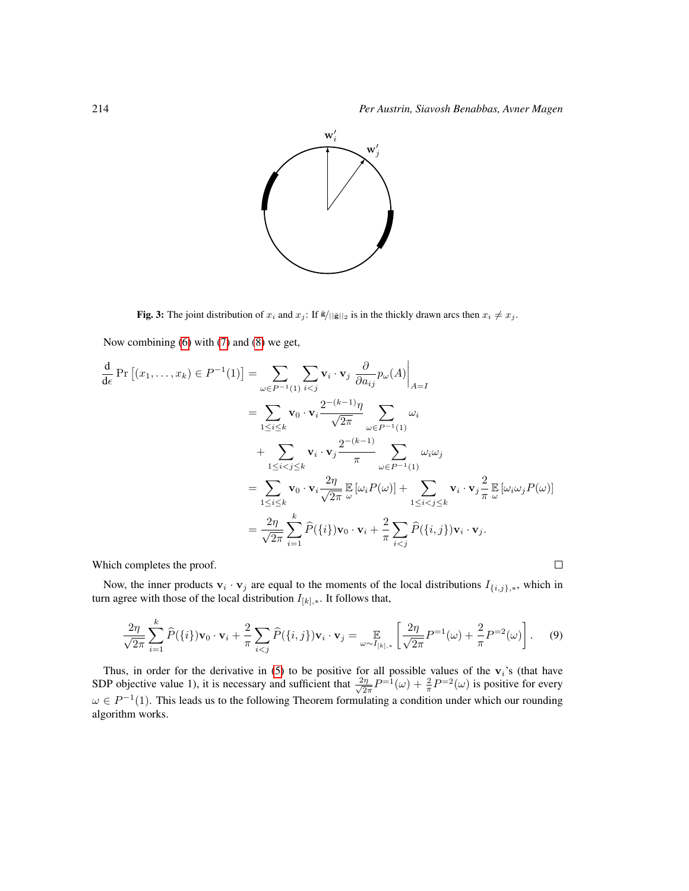<span id="page-9-2"></span> $\Box$ 



<span id="page-9-1"></span>Fig. 3: The joint distribution of  $x_i$  and  $x_j$ : If  $\tilde{g} / ||\tilde{g}||_2$  is in the thickly drawn arcs then  $x_i \neq x_j$ .

Now combining [\(6\)](#page-7-1) with [\(7\)](#page-8-0) and [\(8\)](#page-8-1) we get,

$$
\frac{d}{d\epsilon} \Pr\left[ (x_1, \dots, x_k) \in P^{-1}(1) \right] = \sum_{\omega \in P^{-1}(1)} \sum_{i < j} \mathbf{v}_i \cdot \mathbf{v}_j \left. \frac{\partial}{\partial a_{ij}} p_{\omega}(A) \right|_{A=I}
$$
\n
$$
= \sum_{1 \le i \le k} \mathbf{v}_0 \cdot \mathbf{v}_i \frac{2^{-(k-1)} \eta}{\sqrt{2\pi}} \sum_{\omega \in P^{-1}(1)} \omega_i
$$
\n
$$
+ \sum_{1 \le i < j \le k} \mathbf{v}_i \cdot \mathbf{v}_j \frac{2^{-(k-1)}}{\pi} \sum_{\omega \in P^{-1}(1)} \omega_i \omega_j
$$
\n
$$
= \sum_{1 \le i \le k} \mathbf{v}_0 \cdot \mathbf{v}_i \frac{2\eta}{\sqrt{2\pi}} \mathbb{E} \left[ \omega_i P(\omega) \right] + \sum_{1 \le i < j \le k} \mathbf{v}_i \cdot \mathbf{v}_j \frac{2}{\pi} \mathbb{E} \left[ \omega_i \omega_j P(\omega) \right]
$$
\n
$$
= \frac{2\eta}{\sqrt{2\pi}} \sum_{i=1}^k \widehat{P}(\{i\}) \mathbf{v}_0 \cdot \mathbf{v}_i + \frac{2}{\pi} \sum_{i < j} \widehat{P}(\{i, j\}) \mathbf{v}_i \cdot \mathbf{v}_j.
$$

Which completes the proof.

Now, the inner products  $v_i \cdot v_j$  are equal to the moments of the local distributions  $I_{\{i,j\},*}$ , which in turn agree with those of the local distribution  $I_{[k],\ast}.$  It follows that,

$$
\frac{2\eta}{\sqrt{2\pi}}\sum_{i=1}^{k}\widehat{P}(\{i\})\mathbf{v}_{0}\cdot\mathbf{v}_{i} + \frac{2}{\pi}\sum_{i (9)
$$

<span id="page-9-0"></span>Thus, in order for the derivative in [\(5\)](#page-7-0) to be positive for all possible values of the  $v_i$ 's (that have SDP objective value 1), it is necessary and sufficient that  $\frac{2\eta}{\sqrt{2}}$  $\frac{2m}{2\pi}P^{-1}(\omega) + \frac{2}{\pi}P^{-2}(\omega)$  is positive for every  $\omega \in P^{-1}(1)$ . This leads us to the following Theorem formulating a condition under which our rounding algorithm works.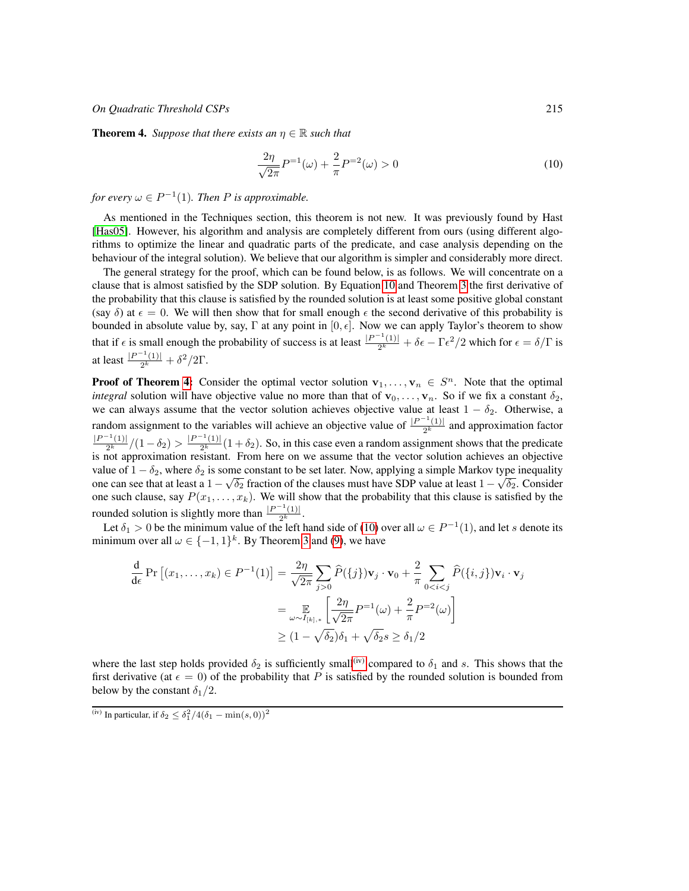**Theorem 4.** *Suppose that there exists an*  $\eta \in \mathbb{R}$  *such that* 

<span id="page-10-0"></span>
$$
\frac{2\eta}{\sqrt{2\pi}}P^{-1}(\omega) + \frac{2}{\pi}P^{-2}(\omega) > 0
$$
\n(10)

*for every*  $\omega \in P^{-1}(1)$ *. Then P is approximable.* 

As mentioned in the Techniques section, this theorem is not new. It was previously found by Hast [\[Has05\]](#page-21-4). However, his algorithm and analysis are completely different from ours (using different algorithms to optimize the linear and quadratic parts of the predicate, and case analysis depending on the behaviour of the integral solution). We believe that our algorithm is simpler and considerably more direct.

The general strategy for the proof, which can be found below, is as follows. We will concentrate on a clause that is almost satisfied by the SDP solution. By Equation [10](#page-10-0) and Theorem [3](#page-7-2) the first derivative of the probability that this clause is satisfied by the rounded solution is at least some positive global constant (say  $\delta$ ) at  $\epsilon = 0$ . We will then show that for small enough  $\epsilon$  the second derivative of this probability is bounded in absolute value by, say, Γ at any point in  $[0, \epsilon]$ . Now we can apply Taylor's theorem to show that if  $\epsilon$  is small enough the probability of success is at least  $\frac{|P^{-1}(1)|}{2^k}$  $\frac{2^{k-1}(1)}{2^{k}} + \delta \epsilon - \Gamma \epsilon^2 / 2$  which for  $\epsilon = \delta / \Gamma$  is at least  $\frac{|P^{-1}(1)|}{2^k}$  $\frac{1}{2^k}$  +  $\delta^2/2\Gamma$ .

**Proof of Theorem [4:](#page-9-0)** Consider the optimal vector solution  $v_1, \ldots, v_n \in S^n$ . Note that the optimal *integral* solution will have objective value no more than that of  $\mathbf{v}_0, \ldots, \mathbf{v}_n$ . So if we fix a constant  $\delta_2$ , we can always assume that the vector solution achieves objective value at least  $1 - \delta_2$ . Otherwise, a random assignment to the variables will achieve an objective value of  $\frac{|P^{-1}(1)|}{2^k}$  $\frac{1}{2^{k}}$  and approximation factor  $|P^{-1}(1)|$  $\frac{1}{2^k}$  /(1 -  $\delta_2$ ) >  $\frac{|P^{-1}(1)|}{2^k}$  $\frac{1}{2^k}$  (1+ $\delta_2$ ). So, in this case even a random assignment shows that the predicate is not approximation resistant. From here on we assume that the vector solution achieves an objective value of  $1 - \delta_2$ , where  $\delta_2$  is some constant to be set later. Now, applying a simple Markov type inequality one can see that at least a  $1-\sqrt{\delta_2}$  fraction of the clauses must have SDP value at least  $1-\sqrt{\delta_2}$ . Consider one such clause, say  $P(x_1, \ldots, x_k)$ . We will show that the probability that this clause is satisfied by the rounded solution is slightly more than  $\frac{|P^{-1}(1)|}{2^k}$  $\frac{(1)}{2^k}$ .

Let  $\delta_1 > 0$  be the minimum value of the left hand side of [\(10\)](#page-10-0) over all  $\omega \in P^{-1}(1)$ , and let s denote its minimum over all  $\omega \in \{-1,1\}^k$ . By Theorem [3](#page-7-2) and [\(9\)](#page-9-2), we have

$$
\frac{\mathrm{d}}{\mathrm{d}\epsilon} \Pr\left[ (x_1, \dots, x_k) \in P^{-1}(1) \right] = \frac{2\eta}{\sqrt{2\pi}} \sum_{j>0} \widehat{P}(\{j\}) \mathbf{v}_j \cdot \mathbf{v}_0 + \frac{2}{\pi} \sum_{0 < i < j} \widehat{P}(\{i, j\}) \mathbf{v}_i \cdot \mathbf{v}_j
$$
\n
$$
= \mathop{\mathbb{E}}_{\omega \sim I_{\{k\},*}} \left[ \frac{2\eta}{\sqrt{2\pi}} P^{-1}(\omega) + \frac{2}{\pi} P^{-2}(\omega) \right]
$$
\n
$$
\geq (1 - \sqrt{\delta_2}) \delta_1 + \sqrt{\delta_2} s \geq \delta_1 / 2
$$

where the last step holds provided  $\delta_2$  is sufficiently small<sup>[\(iv\)](#page-10-1)</sup> compared to  $\delta_1$  and s. This shows that the first derivative (at  $\epsilon = 0$ ) of the probability that P is satisfied by the rounded solution is bounded from below by the constant  $\delta_1/2$ .

<span id="page-10-1"></span><sup>(</sup>iv) In particular, if  $\delta_2 \leq \delta_1^2/4(\delta_1 - \min(s, 0))^2$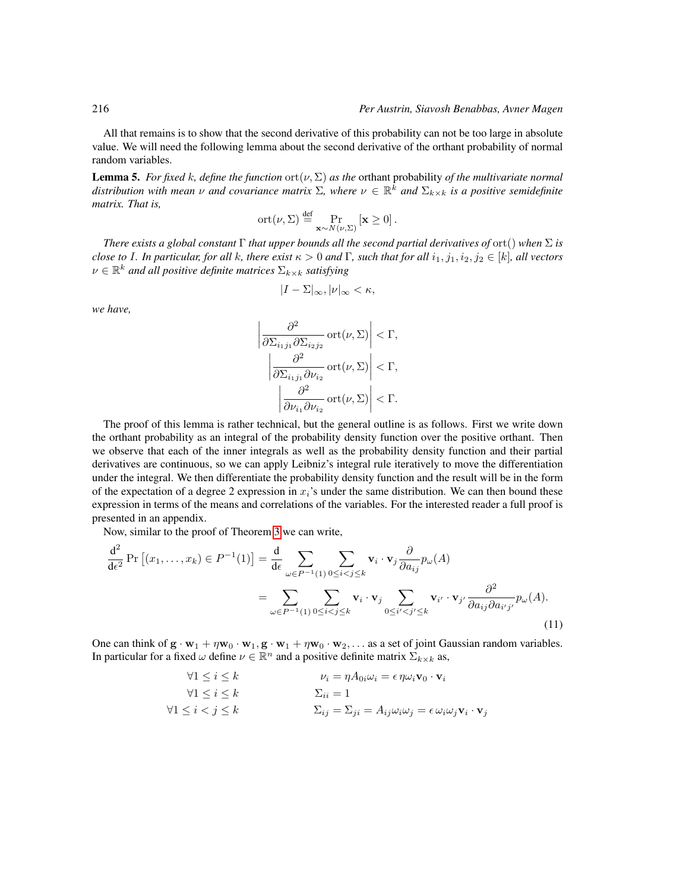All that remains is to show that the second derivative of this probability can not be too large in absolute value. We will need the following lemma about the second derivative of the orthant probability of normal random variables.

<span id="page-11-0"></span>**Lemma 5.** *For fixed k, define the function*  $\text{ort}(\nu, \Sigma)$  *as the* orthant probability *of the multivariate normal* distribution with mean  $\nu$  and covariance matrix  $\Sigma$ , where  $\nu \in \mathbb{R}^{\tilde{k}}$  and  $\Sigma_{k\times k}$  is a positive semidefinite *matrix. That is,*

$$
ort(\nu, \Sigma) \stackrel{\text{def}}{=} \Pr_{\mathbf{x} \sim N(\nu, \Sigma)} [\mathbf{x} \ge 0].
$$

*There exists a global constant*  $\Gamma$  *that upper bounds all the second partial derivatives of* ort() *when*  $\Sigma$  *is close to* I. In particular, for all k, there exist  $\kappa > 0$  and  $\Gamma$ , such that for all  $i_1, j_1, i_2, j_2 \in [k]$ , all vectors  $\nu \in \mathbb{R}^k$  and all positive definite matrices  $\Sigma_{k \times k}$  satisfying

$$
|I-\Sigma|_{\infty},|\nu|_{\infty}<\kappa,
$$

*we have,*

$$
\left| \frac{\partial^2}{\partial \Sigma_{i_1 j_1} \partial \Sigma_{i_2 j_2}} \text{ort}(\nu, \Sigma) \right| < \Gamma,
$$
\n
$$
\left| \frac{\partial^2}{\partial \Sigma_{i_1 j_1} \partial \nu_{i_2}} \text{ort}(\nu, \Sigma) \right| < \Gamma,
$$
\n
$$
\left| \frac{\partial^2}{\partial \nu_{i_1} \partial \nu_{i_2}} \text{ort}(\nu, \Sigma) \right| < \Gamma.
$$

The proof of this lemma is rather technical, but the general outline is as follows. First we write down the orthant probability as an integral of the probability density function over the positive orthant. Then we observe that each of the inner integrals as well as the probability density function and their partial derivatives are continuous, so we can apply Leibniz's integral rule iteratively to move the differentiation under the integral. We then differentiate the probability density function and the result will be in the form of the expectation of a degree 2 expression in  $x_i$ 's under the same distribution. We can then bound these expression in terms of the means and correlations of the variables. For the interested reader a full proof is presented in an appendix.

Now, similar to the proof of Theorem [3](#page-7-2) we can write,

$$
\frac{d^2}{d\epsilon^2} \Pr\left[ (x_1, \dots, x_k) \in P^{-1}(1) \right] = \frac{d}{d\epsilon} \sum_{\omega \in P^{-1}(1)} \sum_{0 \le i < j \le k} \mathbf{v}_i \cdot \mathbf{v}_j \frac{\partial}{\partial a_{ij}} p_{\omega}(A)
$$
\n
$$
= \sum_{\omega \in P^{-1}(1)} \sum_{0 \le i < j \le k} \mathbf{v}_i \cdot \mathbf{v}_j \sum_{0 \le i' < j' \le k} \mathbf{v}_{i'} \cdot \mathbf{v}_{j'} \frac{\partial^2}{\partial a_{ij} \partial a_{i'j'}} p_{\omega}(A). \tag{11}
$$

One can think of  $g \cdot w_1 + \eta w_0 \cdot w_1$ ,  $g \cdot w_1 + \eta w_0 \cdot w_2$ , ... as a set of joint Gaussian random variables. In particular for a fixed  $\omega$  define  $\nu \in \mathbb{R}^n$  and a positive definite matrix  $\Sigma_{k \times k}$  as,

<span id="page-11-1"></span>
$$
\forall 1 \leq i \leq k \qquad \qquad \nu_i = \eta A_{0i} \omega_i = \epsilon \eta \omega_i \mathbf{v}_0 \cdot \mathbf{v}_i
$$

$$
\forall 1 \leq i \leq k \qquad \qquad \Sigma_{ii} = 1
$$

$$
\forall 1 \leq i < j \leq k \qquad \qquad \Sigma_{ij} = \Sigma_{ji} = A_{ij} \omega_i \omega_j = \epsilon \omega_i \omega_j \mathbf{v}_i \cdot \mathbf{v}_j
$$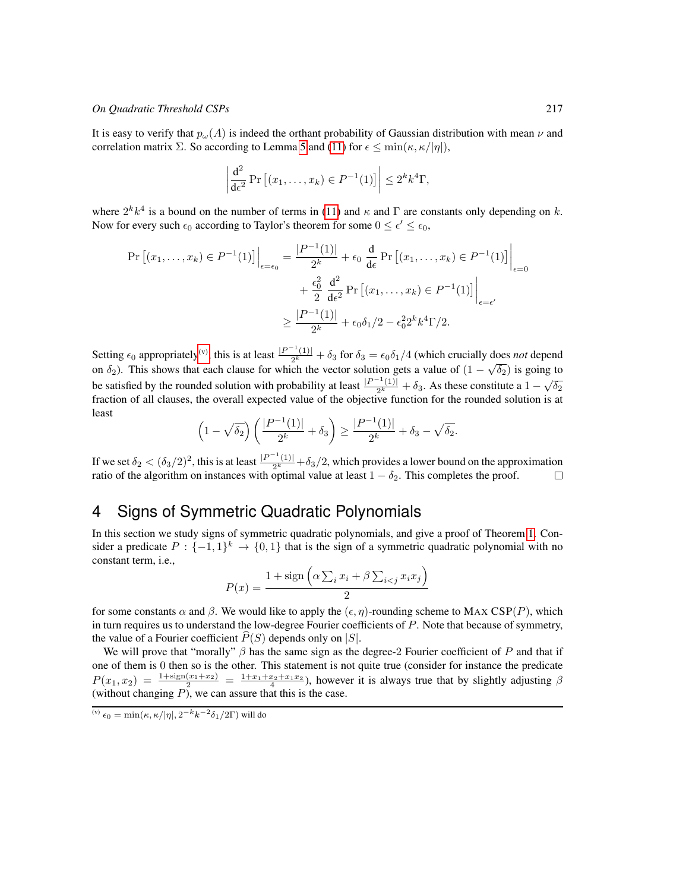It is easy to verify that  $p_\omega(A)$  is indeed the orthant probability of Gaussian distribution with mean  $\nu$  and correlation matrix Σ. So according to Lemma [5](#page-11-0) and [\(11\)](#page-11-1) for  $\epsilon \le \min(\kappa, \kappa/|\eta|)$ ,

$$
\left|\frac{\mathrm{d}^2}{\mathrm{d}\epsilon^2}\Pr\left[(x_1,\ldots,x_k)\in P^{-1}(1)\right]\right|\leq 2^k k^4 \Gamma,
$$

where  $2^k k^4$  is a bound on the number of terms in [\(11\)](#page-11-1) and  $\kappa$  and  $\Gamma$  are constants only depending on k. Now for every such  $\epsilon_0$  according to Taylor's theorem for some  $0 \leq \epsilon' \leq \epsilon_0$ ,

$$
\Pr\left[(x_1, \dots, x_k) \in P^{-1}(1)\right]\Big|_{\epsilon=\epsilon_0} = \frac{|P^{-1}(1)|}{2^k} + \epsilon_0 \frac{d}{d\epsilon} \Pr\left[(x_1, \dots, x_k) \in P^{-1}(1)\right]\Big|_{\epsilon=0}
$$

$$
+ \frac{\epsilon_0^2}{2} \frac{d^2}{d\epsilon^2} \Pr\left[(x_1, \dots, x_k) \in P^{-1}(1)\right]\Big|_{\epsilon=\epsilon'}
$$

$$
\ge \frac{|P^{-1}(1)|}{2^k} + \epsilon_0 \delta_1/2 - \epsilon_0^2 2^k k^4 \Gamma/2.
$$

Setting  $\epsilon_0$  appropriately<sup>[\(v\)](#page-12-1)</sup>, this is at least  $\frac{|P^{-1}(1)|}{2^k}$  $\frac{1}{2^k} + \delta_3$  for  $\delta_3 = \epsilon_0 \delta_1/4$  (which crucially does *not* depend on  $\delta_2$ ). This shows that each clause for which the vector solution gets a value of  $(1 - \sqrt{\delta_2})$  is going to be satisfied by the rounded solution with probability at least  $\frac{|P^{-1}(1)|}{2^k}$  $\frac{1}{2^{k}}$  +  $\delta_3$ . As these constitute a  $1 - \sqrt{\delta_2}$ fraction of all clauses, the overall expected value of the objective function for the rounded solution is at least

$$
\left(1-\sqrt{\delta_2}\right)\left(\frac{|P^{-1}(1)|}{2^k}+\delta_3\right)\geq \frac{|P^{-1}(1)|}{2^k}+\delta_3-\sqrt{\delta_2}.
$$

If we set  $\delta_2 < (\delta_3/2)^2$ , this is at least  $\frac{|P^{-1}(1)|}{2^k}$  $\frac{1}{2^k} + \delta_3/2$ , which provides a lower bound on the approximation ratio of the algorithm on instances with optimal value at least  $1 - \delta_2$ . This completes the proof.  $\Box$ 

# <span id="page-12-0"></span>4 Signs of Symmetric Quadratic Polynomials

In this section we study signs of symmetric quadratic polynomials, and give a proof of Theorem [1.](#page-2-1) Consider a predicate  $P: \{-1,1\}^k \to \{0,1\}$  that is the sign of a symmetric quadratic polynomial with no constant term, i.e.,

$$
P(x) = \frac{1 + \text{sign}\left(\alpha \sum_{i} x_i + \beta \sum_{i < j} x_i x_j\right)}{2}
$$

for some constants  $\alpha$  and  $\beta$ . We would like to apply the  $(\epsilon, \eta)$ -rounding scheme to MAX CSP(P), which in turn requires us to understand the low-degree Fourier coefficients of P. Note that because of symmetry, the value of a Fourier coefficient  $P(S)$  depends only on  $|S|$ .

We will prove that "morally"  $\beta$  has the same sign as the degree-2 Fourier coefficient of P and that if one of them is 0 then so is the other. This statement is not quite true (consider for instance the predicate  $P(x_1, x_2) = \frac{1 + \text{sign}(x_1 + x_2)}{2} = \frac{1 + x_1 + x_2 + x_1 x_2}{4}$ , however it is always true that by slightly adjusting  $\beta$ (without changing  $P$ ), we can assure that this is the case.

<span id="page-12-2"></span><span id="page-12-1"></span><sup>&</sup>lt;sup>(v)</sup>  $\epsilon_0 = \min(\kappa, \kappa/|\eta|, 2^{-k}k^{-2}\delta_1/2\Gamma)$  will do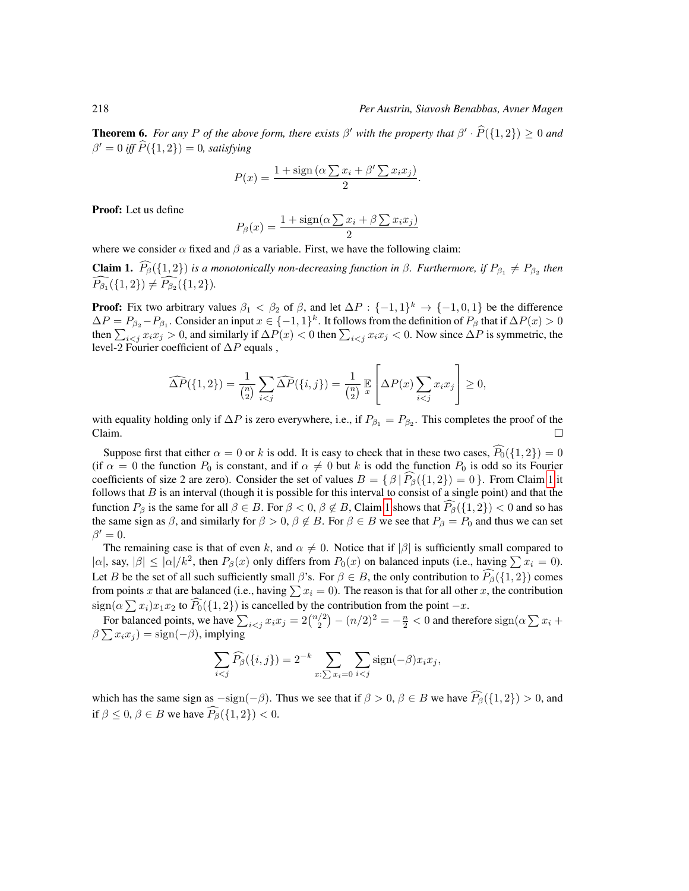**Theorem 6.** *For any P of the above form, there exists*  $\beta'$  *with the property that*  $\beta' \cdot \hat{P}(\{1,2\}) \ge 0$  *and*  $\beta' = 0$  *iff*  $\widehat{P}(\{1, 2\}) = 0$ *, satisfying* 

$$
P(x) = \frac{1 + \operatorname{sign}\left(\alpha \sum x_i + \beta' \sum x_i x_j\right)}{2}.
$$

Proof: Let us define

$$
P_{\beta}(x) = \frac{1 + \text{sign}(\alpha \sum x_i + \beta \sum x_i x_j)}{2}
$$

where we consider  $\alpha$  fixed and  $\beta$  as a variable. First, we have the following claim:

<span id="page-13-0"></span>**Claim 1.**  $P_\beta(\{1,2\})$  *is a monotonically non-decreasing function in*  $\beta$ *. Furthermore, if*  $P_{\beta_1} \neq P_{\beta_2}$  *then*  $P_{\beta_1}(\{1,2\}) \neq P_{\beta_2}(\{1,2\}).$ 

**Proof:** Fix two arbitrary values  $\beta_1 < \beta_2$  of  $\beta$ , and let  $\Delta P : \{-1,1\}^k \to \{-1,0,1\}$  be the difference  $\Delta P = P_{\beta_2} - P_{\beta_1}$ . Consider an input  $x \in \{-1,1\}^k$ . It follows from the definition of  $P_\beta$  that if  $\Delta P(x) > 0$ then  $\sum_{i < j} x_i x_j > 0$ , and similarly if  $\Delta P(x) < 0$  then  $\sum_{i < j} x_i x_j < 0$ . Now since  $\Delta P$  is symmetric, the level-2 Fourier coefficient of  $\Delta P$  equals,

$$
\widehat{\Delta P}(\{1,2\}) = \frac{1}{\binom{n}{2}} \sum_{i < j} \widehat{\Delta P}(\{i,j\}) = \frac{1}{\binom{n}{2}} \mathbb{E} \left[ \Delta P(x) \sum_{i < j} x_i x_j \right] \ge 0,
$$

with equality holding only if  $\Delta P$  is zero everywhere, i.e., if  $P_{\beta_1} = P_{\beta_2}$ . This completes the proof of the Claim.  $\Box$ 

Suppose first that either  $\alpha = 0$  or k is odd. It is easy to check that in these two cases,  $\widehat{P}_0({1, 2}) = 0$ (if  $\alpha = 0$  the function  $P_0$  is constant, and if  $\alpha \neq 0$  but k is odd the function  $P_0$  is odd so its Fourier coefficients of size 2 are zero). Consider the set of values  $B = \{ \beta | P_{\beta}(\{1,2\}) = 0 \}$ . From Claim [1](#page-13-0) it follows that  $B$  is an interval (though it is possible for this interval to consist of a single point) and that the function  $P_\beta$  is the same for all  $\beta \in B$ . For  $\beta < 0$ ,  $\beta \notin B$ , Claim [1](#page-13-0) shows that  $P_\beta(\{1,2\}) < 0$  and so has the same sign as  $\beta$ , and similarly for  $\beta > 0$ ,  $\beta \notin B$ . For  $\beta \in B$  we see that  $P_{\beta} = P_0$  and thus we can set  $\beta'=0.$ 

The remaining case is that of even k, and  $\alpha \neq 0$ . Notice that if  $|\beta|$  is sufficiently small compared to  $|\alpha|$ , say,  $|\beta| \leq |\alpha|/k^2$ , then  $P_\beta(x)$  only differs from  $P_0(x)$  on balanced inputs (i.e., having  $\sum x_i = 0$ ). Let B be the set of all such sufficiently small  $\beta$ 's. For  $\beta \in B$ , the only contribution to  $\widehat{P}_{\beta}(\{1,2\})$  comes from points x that are balanced (i.e., having  $\sum x_i = 0$ ). The reason is that for all other x, the contribution  $\text{sign}(\alpha \sum x_i)x_1x_2$  to  $P_0(\{1,2\})$  is cancelled by the contribution from the point  $-x$ .

For balanced points, we have  $\sum_{i < j} x_i x_j = 2\binom{n/2}{2} - (n/2)^2 = -\frac{n}{2} < 0$  and therefore  $\text{sign}(\alpha \sum x_i +$  $\beta \sum x_i x_j$ ) = sign(- $\beta$ ), implying

$$
\sum_{i < j} \widehat{P}_{\beta}(\{i, j\}) = 2^{-k} \sum_{x: \sum x_i = 0} \sum_{i < j} \text{sign}(-\beta) x_i x_j,
$$

which has the same sign as  $-\text{sign}(-\beta)$ . Thus we see that if  $\beta > 0$ ,  $\beta \in B$  we have  $\widehat{P}_{\beta}(\{1,2\}) > 0$ , and if  $\beta \leq 0$ ,  $\beta \in B$  we have  $\widehat{P}_{\beta}(\{1,2\}) < 0$ .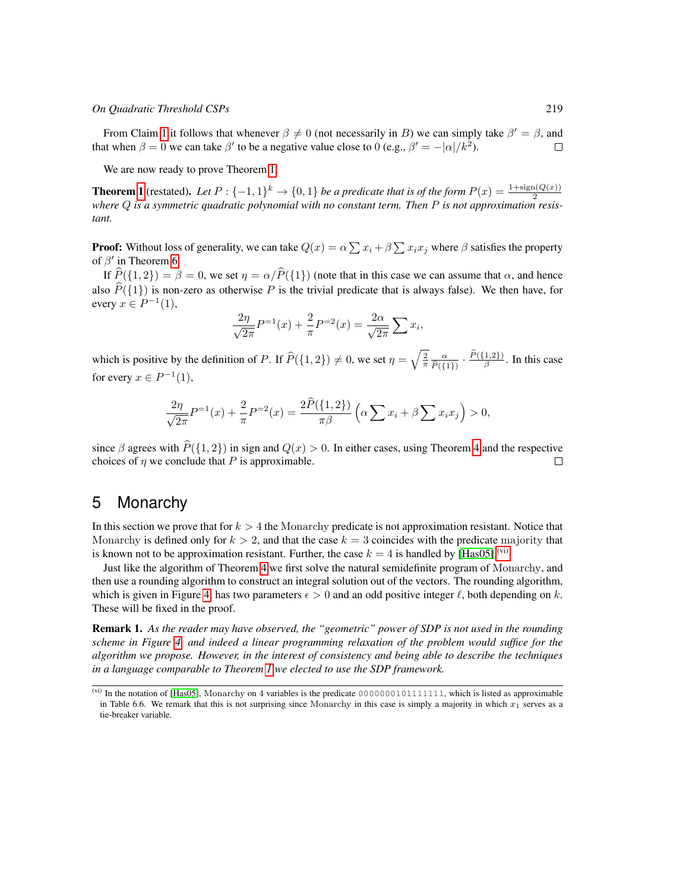From Claim [1](#page-13-0) it follows that whenever  $\beta \neq 0$  (not necessarily in B) we can simply take  $\beta' = \beta$ , and that when  $\beta = 0$  we can take  $\beta'$  to be a negative value close to 0 (e.g.,  $\beta' = -|\alpha|/k^2$ ).  $\Box$ 

We are now ready to prove Theorem [1.](#page-2-1)

**Theorem [1](#page-2-1)** (restated). Let  $P: \{-1,1\}^k \to \{0,1\}$  be a predicate that is of the form  $P(x) = \frac{1+\text{sign}(Q(x))}{2}$ *where* Q *is a symmetric quadratic polynomial with no constant term. Then* P *is not approximation resistant.*

**Proof:** Without loss of generality, we can take  $Q(x) = \alpha \sum x_i + \beta \sum x_i x_j$  where  $\beta$  satisfies the property of  $\beta'$  in Theorem [6.](#page-12-2)

If  $\widehat{P}(\{1, 2\}) = \beta = 0$ , we set  $\eta = \alpha/\widehat{P}(\{1\})$  (note that in this case we can assume that  $\alpha$ , and hence also  $\widehat{P}(\{1\})$  is non-zero as otherwise P is the trivial predicate that is always false). We then have, for every  $x \in P^{-1}(1)$ ,

$$
\frac{2\eta}{\sqrt{2\pi}}P^{-1}(x) + \frac{2}{\pi}P^{-2}(x) = \frac{2\alpha}{\sqrt{2\pi}}\sum x_i,
$$

which is positive by the definition of P. If  $\widehat{P}(\{1, 2\}) \neq 0$ , we set  $\eta = \sqrt{\frac{2}{\pi}} \frac{\alpha}{\widehat{P}(\{1, 2\})}$  $\frac{\alpha}{\widehat{P}(\{1\})} \cdot \frac{P(\{1,2\})}{\beta}$ . In this case for every  $x \in P^{-1}(1)$ ,

$$
\frac{2\eta}{\sqrt{2\pi}}P^{-1}(x) + \frac{2}{\pi}P^{-2}(x) = \frac{2P(\{1,2\})}{\pi\beta}\left(\alpha\sum x_i + \beta\sum x_i x_j\right) > 0,
$$

since  $\beta$  agrees with  $\widehat{P}({1, 2})$  in sign and  $Q(x) > 0$ . In either cases, using Theorem [4](#page-9-0) and the respective choices of  $\eta$  we conclude that P is approximable. choices of  $\eta$  we conclude that  $P$  is approximable.

# <span id="page-14-0"></span>5 Monarchy

In this section we prove that for  $k > 4$  the Monarchy predicate is not approximation resistant. Notice that Monarchy is defined only for  $k > 2$ , and that the case  $k = 3$  coincides with the predicate majority that is known not to be approximation resistant. Further, the case  $k = 4$  is handled by [\[Has05\]](#page-21-4).<sup>[\(vi\)](#page-14-1)</sup>

Just like the algorithm of Theorem [4](#page-9-0) we first solve the natural semidefinite program of Monarchy, and then use a rounding algorithm to construct an integral solution out of the vectors. The rounding algorithm, which is given in Figure [4,](#page-15-0) has two parameters  $\epsilon > 0$  and an odd positive integer  $\ell$ , both depending on k. These will be fixed in the proof.

Remark 1. *As the reader may have observed, the "geometric" power of SDP is not used in the rounding scheme in Figure [4,](#page-15-0) and indeed a linear programming relaxation of the problem would suffice for the algorithm we propose. However, in the interest of consistency and being able to describe the techniques in a language comparable to Theorem [1](#page-2-1) we elected to use the SDP framework.*

<span id="page-14-1"></span><sup>(</sup>vi) In the notation of [\[Has05\]](#page-21-4), Monarchy on 4 variables is the predicate  $0000000101111111$ , which is listed as approximable in Table 6.6. We remark that this is not surprising since Monarchy in this case is simply a majority in which  $x_1$  serves as a tie-breaker variable.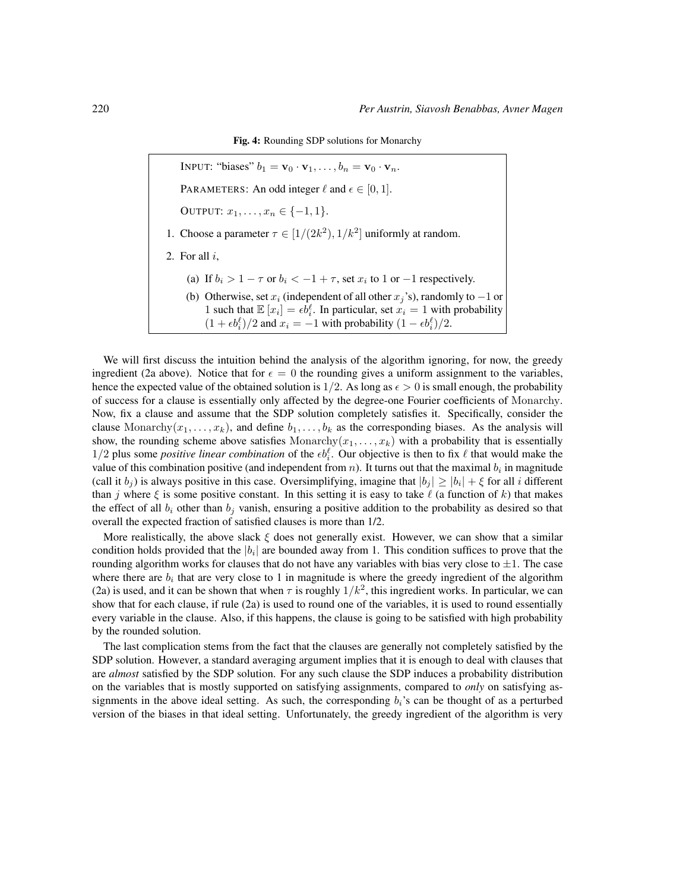<span id="page-15-0"></span>Fig. 4: Rounding SDP solutions for Monarchy

INPUT: "biases"  $b_1 = \mathbf{v}_0 \cdot \mathbf{v}_1, \ldots, b_n = \mathbf{v}_0 \cdot \mathbf{v}_n$ . PARAMETERS: An odd integer  $\ell$  and  $\epsilon \in [0, 1]$ . OUTPUT:  $x_1, \ldots, x_n \in \{-1, 1\}.$ 1. Choose a parameter  $\tau \in [1/(2k^2), 1/k^2]$  uniformly at random. 2. For all  $i$ , (a) If  $b_i > 1 - \tau$  or  $b_i < -1 + \tau$ , set  $x_i$  to 1 or  $-1$  respectively. (b) Otherwise, set  $x_i$  (independent of all other  $x_j$ 's), randomly to  $-1$  or 1 such that  $\mathbb{E}[x_i] = \epsilon \overline{b}_i^{\ell}$ . In particular, set  $x_i = 1$  with probability  $(1 + \epsilon b_i^{\ell})/2$  and  $x_i = -1$  with probability  $(1 - \epsilon b_i^{\ell})/2$ .

We will first discuss the intuition behind the analysis of the algorithm ignoring, for now, the greedy ingredient (2a above). Notice that for  $\epsilon = 0$  the rounding gives a uniform assignment to the variables, hence the expected value of the obtained solution is  $1/2$ . As long as  $\epsilon > 0$  is small enough, the probability of success for a clause is essentially only affected by the degree-one Fourier coefficients of Monarchy. Now, fix a clause and assume that the SDP solution completely satisfies it. Specifically, consider the clause Monarchy $(x_1, \ldots, x_k)$ , and define  $b_1, \ldots, b_k$  as the corresponding biases. As the analysis will show, the rounding scheme above satisfies Monarchy $(x_1, \ldots, x_k)$  with a probability that is essentially  $1/2$  plus some *positive linear combination* of the  $\epsilon b_i^{\ell}$ . Our objective is then to fix  $\ell$  that would make the value of this combination positive (and independent from *n*). It turns out that the maximal  $b_i$  in magnitude (call it  $b_j$ ) is always positive in this case. Oversimplifying, imagine that  $|b_j| \ge |b_i| + \xi$  for all i different than j where  $\xi$  is some positive constant. In this setting it is easy to take  $\ell$  (a function of k) that makes the effect of all  $b_i$  other than  $b_j$  vanish, ensuring a positive addition to the probability as desired so that overall the expected fraction of satisfied clauses is more than 1/2.

More realistically, the above slack  $\xi$  does not generally exist. However, we can show that a similar condition holds provided that the  $|b_i|$  are bounded away from 1. This condition suffices to prove that the rounding algorithm works for clauses that do not have any variables with bias very close to  $\pm 1$ . The case where there are  $b_i$  that are very close to 1 in magnitude is where the greedy ingredient of the algorithm (2a) is used, and it can be shown that when  $\tau$  is roughly  $1/k^2$ , this ingredient works. In particular, we can show that for each clause, if rule (2a) is used to round one of the variables, it is used to round essentially every variable in the clause. Also, if this happens, the clause is going to be satisfied with high probability by the rounded solution.

The last complication stems from the fact that the clauses are generally not completely satisfied by the SDP solution. However, a standard averaging argument implies that it is enough to deal with clauses that are *almost* satisfied by the SDP solution. For any such clause the SDP induces a probability distribution on the variables that is mostly supported on satisfying assignments, compared to *only* on satisfying assignments in the above ideal setting. As such, the corresponding  $b_i$ 's can be thought of as a perturbed version of the biases in that ideal setting. Unfortunately, the greedy ingredient of the algorithm is very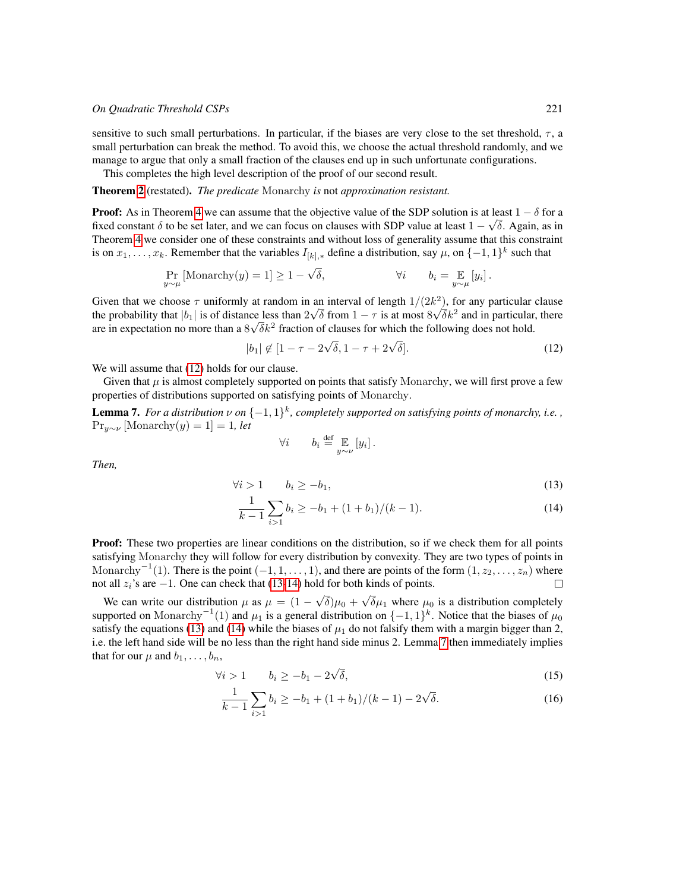sensitive to such small perturbations. In particular, if the biases are very close to the set threshold,  $\tau$ , a small perturbation can break the method. To avoid this, we choose the actual threshold randomly, and we manage to argue that only a small fraction of the clauses end up in such unfortunate configurations.

This completes the high level description of the proof of our second result.

Theorem [2](#page-3-1) (restated). *The predicate* Monarchy *is* not *approximation resistant.*

**Proof:** As in Theorem [4](#page-9-0) we can assume that the objective value of the SDP solution is at least  $1 - \delta$  for a fixed constant  $\delta$  to be set later, and we can focus on clauses with SDP value at least  $1 - \sqrt{\delta}$ . Again, as in Theorem [4](#page-9-0) we consider one of these constraints and without loss of generality assume that this constraint is on  $x_1, \ldots, x_k$ . Remember that the variables  $I_{[k],*}$  define a distribution, say  $\mu$ , on  $\{-1, 1\}^k$  such that

$$
\Pr_{y \sim \mu} \left[ \text{Monarchy}(y) = 1 \right] \ge 1 - \sqrt{\delta}, \qquad \forall i \qquad b_i = \mathop{\mathbb{E}}_{y \sim \mu} \left[ y_i \right].
$$

Given that we choose  $\tau$  uniformly at random in an interval of length  $1/(2k^2)$ , for any particular clause the probability that  $|b_1|$  is of distance less than  $2\sqrt{\delta}$  from  $1-\tau$  is at most  $8\sqrt{\delta}k^2$  and in particular, there are in expectation no more than a  $8\sqrt{\delta}k^2$  fraction of clauses for which the following does not hold.

$$
|b_1| \notin [1 - \tau - 2\sqrt{\delta}, 1 - \tau + 2\sqrt{\delta}].
$$
 (12)

We will assume that [\(12\)](#page-16-0) holds for our clause.

Given that  $\mu$  is almost completely supported on points that satisfy Monarchy, we will first prove a few properties of distributions supported on satisfying points of Monarchy.

<span id="page-16-3"></span>**Lemma 7.** For a distribution  $\nu$  on  $\{-1,1\}^k$ , completely supported on satisfying points of monarchy, i.e.,  $\Pr_{y \sim \nu}$  [Monarchy $(y) = 1$ ] = 1*, let* 

<span id="page-16-2"></span><span id="page-16-1"></span><span id="page-16-0"></span> $\forall i \qquad b_i \stackrel{\text{def}}{=} \mathop{\mathbb{E}}_{y \sim \nu} \left[ y_i \right].$ 

*Then,*

$$
\forall i > 1 \qquad b_i \ge -b_1,\tag{13}
$$

$$
\frac{1}{k-1}\sum_{i>1}b_i \ge -b_1 + (1+b_1)/(k-1). \tag{14}
$$

**Proof:** These two properties are linear conditions on the distribution, so if we check them for all points satisfying Monarchy they will follow for every distribution by convexity. They are two types of points in Monarchy<sup>-1</sup>(1). There is the point  $(-1, 1, \ldots, 1)$ , and there are points of the form  $(1, z_2, \ldots, z_n)$  where not all  $z_i$ 's are  $-1$ . One can check that [\(13-](#page-16-1)[14\)](#page-16-2) hold for both kinds of points.  $\Box$ √ √

We can write our distribution  $\mu$  as  $\mu = (1 (\delta)\mu_0 +$  $\delta\mu_1$  where  $\mu_0$  is a distribution completely supported on Monarchy<sup>-1</sup>(1) and  $\mu_1$  is a general distribution on  $\{-1,1\}^k$ . Notice that the biases of  $\mu_0$ satisfy the equations [\(13\)](#page-16-1) and [\(14\)](#page-16-2) while the biases of  $\mu_1$  do not falsify them with a margin bigger than 2, i.e. the left hand side will be no less than the right hand side minus 2. Lemma [7](#page-16-3) then immediately implies that for our  $\mu$  and  $b_1, \ldots, b_n$ ,

$$
\forall i > 1 \qquad b_i \ge -b_1 - 2\sqrt{\delta},\tag{15}
$$

<span id="page-16-5"></span><span id="page-16-4"></span>
$$
\frac{1}{k-1} \sum_{i>1} b_i \ge -b_1 + (1+b_1)/(k-1) - 2\sqrt{\delta}.
$$
 (16)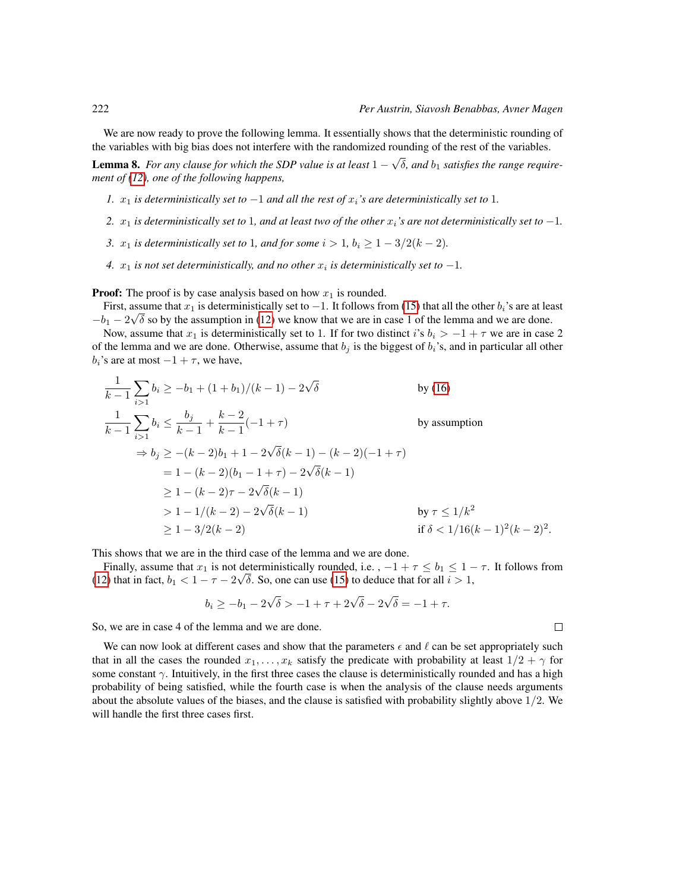$\Box$ 

We are now ready to prove the following lemma. It essentially shows that the deterministic rounding of the variables with big bias does not interfere with the randomized rounding of the rest of the variables. √

<span id="page-17-0"></span>Lemma 8. *For any clause for which the SDP value is at least* 1 − δ*, and* b<sup>1</sup> *satisfies the range requirement of [\(12\)](#page-16-0), one of the following happens,*

- *1.*  $x_1$  *is deterministically set to*  $-1$  *and all the rest of*  $x_i$ *'s are deterministically set to* 1*.*
- 2.  $x_1$  *is deterministically set to* 1*, and at least two of the other*  $x_i$ *'s are not deterministically set to*  $-1$ *.*
- *3.*  $x_1$  *is deterministically set to* 1*, and for some*  $i > 1$ *,*  $b_i \geq 1 3/2(k 2)$ *.*
- *4.*  $x_1$  is not set deterministically, and no other  $x_i$  is deterministically set to  $-1$ .

**Proof:** The proof is by case analysis based on how  $x_1$  is rounded.

First, assume that  $x_1$  is deterministically set to  $-1$ . It follows from [\(15\)](#page-16-4) that all the other  $b_i$ 's are at least  $-b_1 - 2\sqrt{\delta}$  so by the assumption in [\(12\)](#page-16-0) we know that we are in case 1 of the lemma and we are done.

Now, assume that  $x_1$  is deterministically set to 1. If for two distinct i's  $b_i > -1 + \tau$  we are in case 2 of the lemma and we are done. Otherwise, assume that  $b_i$  is the biggest of  $b_i$ 's, and in particular all other  $b_i$ 's are at most  $-1 + \tau$ , we have,

$$
\frac{1}{k-1} \sum_{i>1} b_i \ge -b_1 + (1+b_1)/(k-1) - 2\sqrt{\delta} \qquad \text{by (16)}
$$
\n
$$
\frac{1}{k-1} \sum_{i>1} b_i \le \frac{b_j}{k-1} + \frac{k-2}{k-1}(-1+\tau) \qquad \text{by assumption}
$$
\n
$$
\Rightarrow b_j \ge -(k-2)b_1 + 1 - 2\sqrt{\delta}(k-1) - (k-2)(-1+\tau)
$$
\n
$$
= 1 - (k-2)(b_1 - 1+\tau) - 2\sqrt{\delta}(k-1)
$$
\n
$$
\ge 1 - (k-2)\tau - 2\sqrt{\delta}(k-1)
$$
\n
$$
> 1 - 1/(k-2) - 2\sqrt{\delta}(k-1) \qquad \text{by } \tau \le 1/k^2
$$
\n
$$
\ge 1 - 3/2(k-2) \qquad \text{if } \delta < 1/16(k-1)^2(k-2)^2.
$$

This shows that we are in the third case of the lemma and we are done.

Finally, assume that  $x_1$  is not deterministically rounded, i.e.,  $-1 + \tau \leq b_1 \leq 1 - \tau$ . It follows from [\(12\)](#page-16-0) that in fact,  $b_1 < 1 - \tau - 2\sqrt{\delta}$ . So, one can use [\(15\)](#page-16-4) to deduce that for all  $i > 1$ ,

$$
b_i \geq -b_1 - 2\sqrt{\delta} > -1 + \tau + 2\sqrt{\delta} - 2\sqrt{\delta} = -1 + \tau.
$$

So, we are in case 4 of the lemma and we are done.

<span id="page-17-1"></span>We can now look at different cases and show that the parameters  $\epsilon$  and  $\ell$  can be set appropriately such that in all the cases the rounded  $x_1, \ldots, x_k$  satisfy the predicate with probability at least  $1/2 + \gamma$  for some constant  $\gamma$ . Intuitively, in the first three cases the clause is deterministically rounded and has a high probability of being satisfied, while the fourth case is when the analysis of the clause needs arguments about the absolute values of the biases, and the clause is satisfied with probability slightly above 1/2. We will handle the first three cases first.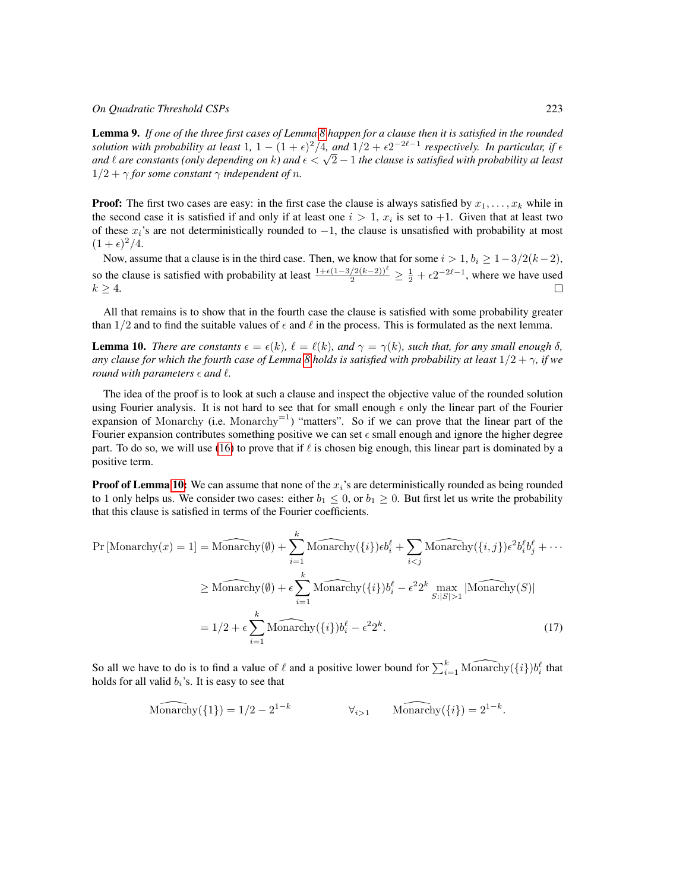Lemma 9. *If one of the three first cases of Lemma [8](#page-17-0) happen for a clause then it is satisfied in the rounded solution with probability at least* 1,  $1 - (1 + \epsilon)^2/4$ , and  $1/2 + \epsilon 2^{-2\ell-1}$  respectively. In particular, if  $\epsilon$ *and*  $\ell$  *are constants (only depending on*  $k$ ) and  $\epsilon < \sqrt{2} - 1$  *the clause is satisfied with probability at least* and  $\ell$  *are constants (only depending on*  $k$ ) and  $\epsilon < \sqrt{2} - 1$  *the clause is satisfied with pro*  $1/2 + \gamma$  *for some constant*  $\gamma$  *independent of n.* 

**Proof:** The first two cases are easy: in the first case the clause is always satisfied by  $x_1, \ldots, x_k$  while in the second case it is satisfied if and only if at least one  $i > 1$ ,  $x_i$  is set to  $+1$ . Given that at least two of these  $x_i$ 's are not deterministically rounded to  $-1$ , the clause is unsatisfied with probability at most  $(1 + \epsilon)^2/4$ .

Now, assume that a clause is in the third case. Then, we know that for some  $i > 1$ ,  $b_i \geq 1-3/2(k-2)$ , so the clause is satisfied with probability at least  $\frac{1+\epsilon(1-3/2(k-2))^{\ell}}{2} \geq \frac{1}{2} + \epsilon 2^{-2\ell-1}$ , where we have used  $k \geq 4$ .  $\Box$ 

All that remains is to show that in the fourth case the clause is satisfied with some probability greater than  $1/2$  and to find the suitable values of  $\epsilon$  and  $\ell$  in the process. This is formulated as the next lemma.

<span id="page-18-0"></span>**Lemma 10.** *There are constants*  $\epsilon = \epsilon(k)$ *,*  $\ell = \ell(k)$ *, and*  $\gamma = \gamma(k)$ *, such that, for any small enough*  $\delta$ *, any clause for which the fourth case of Lemma [8](#page-17-0) holds is satisfied with probability at least* 1/2 + γ*, if we round with parameters*  $\epsilon$  *and*  $\ell$ *.* 

The idea of the proof is to look at such a clause and inspect the objective value of the rounded solution using Fourier analysis. It is not hard to see that for small enough  $\epsilon$  only the linear part of the Fourier expansion of Monarchy (i.e. Monarchy<sup> $=1$ </sup>) "matters". So if we can prove that the linear part of the Fourier expansion contributes something positive we can set  $\epsilon$  small enough and ignore the higher degree part. To do so, we will use [\(16\)](#page-16-5) to prove that if  $\ell$  is chosen big enough, this linear part is dominated by a positive term.

**Proof of Lemma [10:](#page-18-0)** We can assume that none of the  $x_i$ 's are deterministically rounded as being rounded to 1 only helps us. We consider two cases: either  $b_1 \leq 0$ , or  $b_1 \geq 0$ . But first let us write the probability that this clause is satisfied in terms of the Fourier coefficients.

$$
\Pr\left[\text{Monarchy}(x) = 1\right] = \widehat{\text{Monarchy}}(\emptyset) + \sum_{i=1}^{k} \widehat{\text{Monarchy}}(\{i\}) \epsilon b_i^{\ell} + \sum_{i < j} \widehat{\text{Monarchy}}(\{i, j\}) \epsilon^2 b_i^{\ell} b_j^{\ell} + \cdots
$$
\n
$$
\geq \widehat{\text{Monarchy}}(\emptyset) + \epsilon \sum_{i=1}^{k} \widehat{\text{Monarchy}}(\{i\}) b_i^{\ell} - \epsilon^2 2^k \max_{S:|S| > 1} |\widehat{\text{Monarchy}}(S)|
$$
\n
$$
= 1/2 + \epsilon \sum_{i=1}^{k} \widehat{\text{Monarchy}}(\{i\}) b_i^{\ell} - \epsilon^2 2^k. \tag{17}
$$

So all we have to do is to find a value of  $\ell$  and a positive lower bound for  $\sum_{i=1}^{k} \widehat{\text{Monachy}}(\{i\}) b_i^{\ell}$  that holds for all valid  $b_i$ 's. It is easy to see that

<span id="page-18-1"></span>
$$
\widehat{\text{Monarchy}}(\{1\}) = 1/2 - 2^{1-k} \qquad \qquad \forall_{i>1} \qquad \widehat{\text{Monarchy}}(\{i\}) = 2^{1-k}.
$$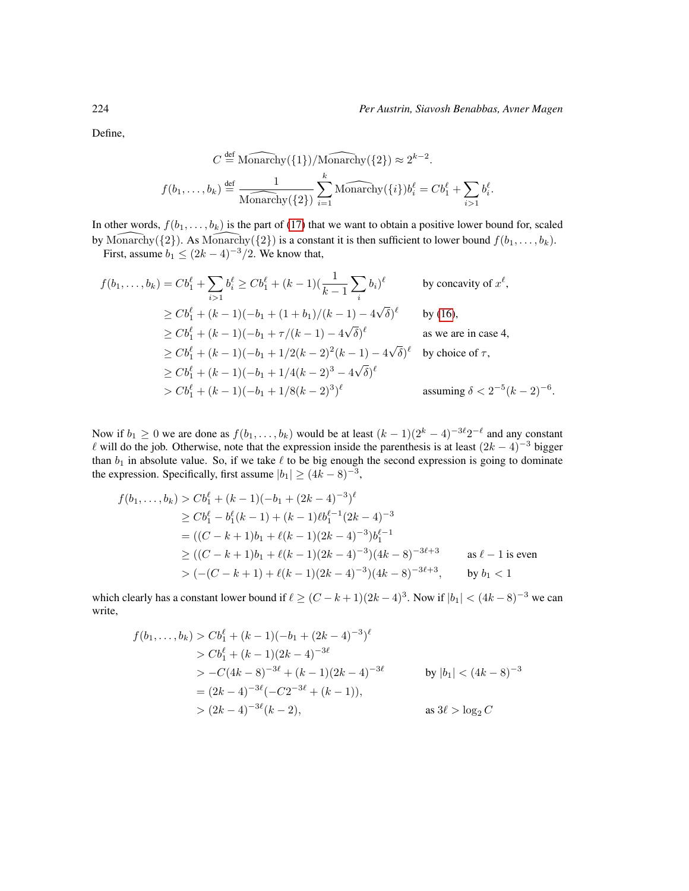.

Define,

$$
C \stackrel{\text{def}}{=} \widehat{\text{Monarchy}}(\{1\}) / \widehat{\text{Monarchy}}(\{2\}) \approx 2^{k-2}.
$$

$$
f(b_1, \dots, b_k) \stackrel{\text{def}}{=} \frac{1}{\widehat{\text{Monarchy}}(\{2\})} \sum_{i=1}^k \widehat{\text{Monarchy}}(\{i\}) b_i^{\ell} = C b_1^{\ell} + \sum_{i>1} b_i^{\ell}
$$

In other words,  $f(b_1, \ldots, b_k)$  is the part of [\(17\)](#page-18-1) that we want to obtain a positive lower bound for, scaled by Monarchy( $\{2\}$ ). As Monarchy( $\{2\}$ ) is a constant it is then sufficient to lower bound  $f(b_1, \ldots, b_k)$ .

First, assume  $b_1 \leq (2k-4)^{-3}/2$ . We know that,

$$
f(b_1, ..., b_k) = Cb_1^{\ell} + \sum_{i>1} b_i^{\ell} \ge Cb_1^{\ell} + (k-1)\left(\frac{1}{k-1}\sum_i b_i\right)^{\ell} \qquad \text{by concavity of } x^{\ell},
$$
  
\n
$$
\ge Cb_1^{\ell} + (k-1)(-b_1 + (1+b_1)/(k-1) - 4\sqrt{\delta})^{\ell} \qquad \text{by (16)},
$$
  
\n
$$
\ge Cb_1^{\ell} + (k-1)(-b_1 + \tau/(k-1) - 4\sqrt{\delta})^{\ell} \qquad \text{as we are in case 4},
$$
  
\n
$$
\ge Cb_1^{\ell} + (k-1)(-b_1 + 1/2(k-2)^2(k-1) - 4\sqrt{\delta})^{\ell} \qquad \text{by choice of } \tau,
$$
  
\n
$$
\ge Cb_1^{\ell} + (k-1)(-b_1 + 1/4(k-2)^3 - 4\sqrt{\delta})^{\ell} \qquad \text{by choice of } \tau,
$$
  
\n
$$
\ge Cb_1^{\ell} + (k-1)(-b_1 + 1/4(k-2)^3 - 4\sqrt{\delta})^{\ell} \qquad \text{assuming } \delta < 2^{-5}(k-2)^{-6}.
$$

Now if  $b_1 \geq 0$  we are done as  $f(b_1, \ldots, b_k)$  would be at least  $(k-1)(2^k-4)^{-3\ell}2^{-\ell}$  and any constant  $\ell$  will do the job. Otherwise, note that the expression inside the parenthesis is at least  $(2k - 4)^{-3}$  bigger than  $b_1$  in absolute value. So, if we take  $\ell$  to be big enough the second expression is going to dominate the expression. Specifically, first assume  $|b_1| \ge (4k-8)^{-3}$ ,

$$
f(b_1, ..., b_k) > Cb_1^{\ell} + (k-1)(-b_1 + (2k-4)^{-3})^{\ell}
$$
  
\n
$$
\ge Cb_1^{\ell} - b_1^{\ell}(k-1) + (k-1)\ell b_1^{\ell-1}(2k-4)^{-3}
$$
  
\n
$$
= ((C-k+1)b_1 + \ell(k-1)(2k-4)^{-3})b_1^{\ell-1}
$$
  
\n
$$
\ge ((C-k+1)b_1 + \ell(k-1)(2k-4)^{-3})(4k-8)^{-3\ell+3}
$$
 as  $\ell - 1$  is even  
\n
$$
> (-(C-k+1) + \ell(k-1)(2k-4)^{-3})(4k-8)^{-3\ell+3}, \qquad \text{by } b_1 < 1
$$

which clearly has a constant lower bound if  $\ell \geq (C - k + 1)(2k - 4)^3$ . Now if  $|b_1| < (4k - 8)^{-3}$  we can write,

$$
f(b_1, ..., b_k) > Cb_1^{\ell} + (k-1)(-b_1 + (2k-4)^{-3})^{\ell}
$$
  
>  $Cb_1^{\ell} + (k-1)(2k-4)^{-3\ell}$   
>  $-C(4k-8)^{-3\ell} + (k-1)(2k-4)^{-3\ell}$  by  $|b_1| < (4k-8)^{-3}$   
=  $(2k-4)^{-3\ell}(-C2^{-3\ell} + (k-1)),$   
>  $(2k-4)^{-3\ell}(k-2),$  as  $3\ell > \log_2 C$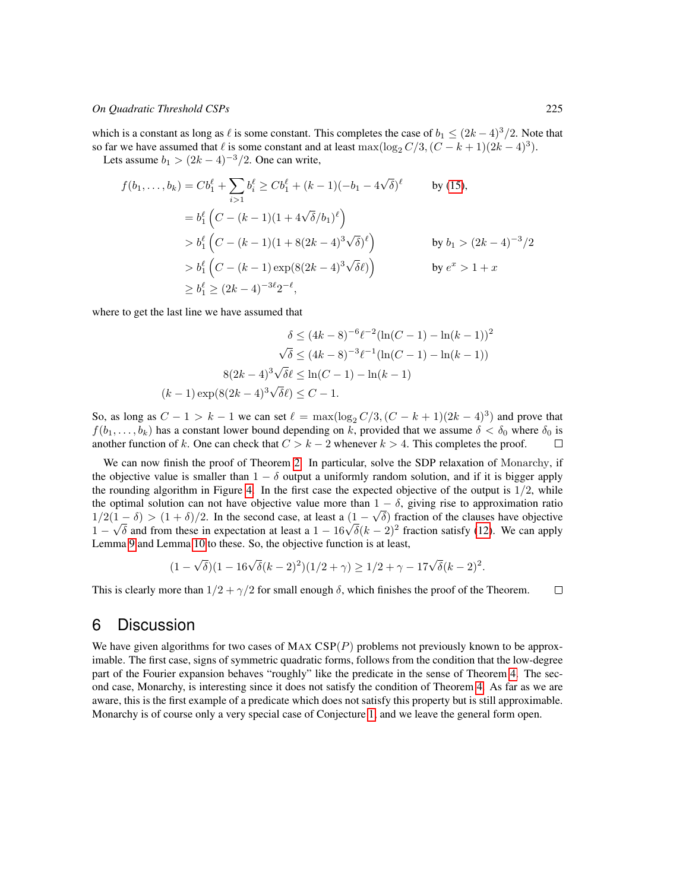which is a constant as long as  $\ell$  is some constant. This completes the case of  $b_1 \leq (2k-4)^3/2$ . Note that so far we have assumed that  $\ell$  is some constant and at least  $\max(\log_2 C/3, (C - k + 1)(2k - 4)^3)$ .

Lets assume  $b_1 > (2k-4)^{-3}/2$ . One can write,

$$
f(b_1, ..., b_k) = Cb_1^{\ell} + \sum_{i>1} b_i^{\ell} \ge Cb_1^{\ell} + (k-1)(-b_1 - 4\sqrt{\delta})^{\ell} \qquad \text{by (15)},
$$
  
\n
$$
= b_1^{\ell} \left( C - (k-1)(1 + 4\sqrt{\delta}/b_1)^{\ell} \right)
$$
  
\n
$$
> b_1^{\ell} \left( C - (k-1)(1 + 8(2k-4)^3\sqrt{\delta})^{\ell} \right) \qquad \text{by } b_1 > (2k-4)^{-3}/2
$$
  
\n
$$
> b_1^{\ell} \left( C - (k-1)\exp(8(2k-4)^3\sqrt{\delta}\ell) \right) \qquad \text{by } e^x > 1 + x
$$
  
\n
$$
\ge b_1^{\ell} \ge (2k-4)^{-3\ell} 2^{-\ell},
$$

where to get the last line we have assumed that

$$
\delta \le (4k - 8)^{-6} \ell^{-2} (\ln(C - 1) - \ln(k - 1))^2
$$

$$
\sqrt{\delta} \le (4k - 8)^{-3} \ell^{-1} (\ln(C - 1) - \ln(k - 1))
$$

$$
8(2k - 4)^3 \sqrt{\delta} \ell \le \ln(C - 1) - \ln(k - 1)
$$

$$
(k - 1) \exp(8(2k - 4)^3 \sqrt{\delta} \ell) \le C - 1.
$$

So, as long as  $C - 1 > k - 1$  we can set  $\ell = \max(\log_2 C/3, (C - k + 1)(2k - 4)^3)$  and prove that  $f(b_1,\ldots,b_k)$  has a constant lower bound depending on k, provided that we assume  $\delta < \delta_0$  where  $\delta_0$  is another function of k. One can check that  $C > k - 2$  whenever  $k > 4$ . This completes the proof.  $\Box$ 

We can now finish the proof of Theorem [2.](#page-3-1) In particular, solve the SDP relaxation of Monarchy, if the objective value is smaller than  $1 - \delta$  output a uniformly random solution, and if it is bigger apply the rounding algorithm in Figure [4.](#page-15-0) In the first case the expected objective of the output is  $1/2$ , while the optimal solution can not have objective value more than  $1 - \delta$ , giving rise to approximation ratio  $1/2(1-\delta) > (1+\delta)/2$ . In the second case, at least a  $(1-\sqrt{\delta})$  fraction of the clauses have objective  $1/2(1-\delta) > (1+\delta)/2$ . In the second case, at least a  $(1-\sqrt{\delta})$  fraction of the clauses have objective  $1-\sqrt{\delta}$  and from these in expectation at least a  $1-16\sqrt{\delta}(k-2)^2$  fraction satisfy [\(12\)](#page-16-0). We can apply Lemma [9](#page-17-1) and Lemma [10](#page-18-0) to these. So, the objective function is at least,

$$
(1 - \sqrt{\delta})(1 - 16\sqrt{\delta}(k-2)^2)(1/2 + \gamma) \ge 1/2 + \gamma - 17\sqrt{\delta}(k-2)^2.
$$

This is clearly more than  $1/2 + \gamma/2$  for small enough  $\delta$ , which finishes the proof of the Theorem.  $\Box$ 

### <span id="page-20-0"></span>6 Discussion

We have given algorithms for two cases of MAX  $CSP(P)$  problems not previously known to be approximable. The first case, signs of symmetric quadratic forms, follows from the condition that the low-degree part of the Fourier expansion behaves "roughly" like the predicate in the sense of Theorem [4.](#page-9-0) The second case, Monarchy, is interesting since it does not satisfy the condition of Theorem [4.](#page-9-0) As far as we are aware, this is the first example of a predicate which does not satisfy this property but is still approximable. Monarchy is of course only a very special case of Conjecture [1,](#page-2-0) and we leave the general form open.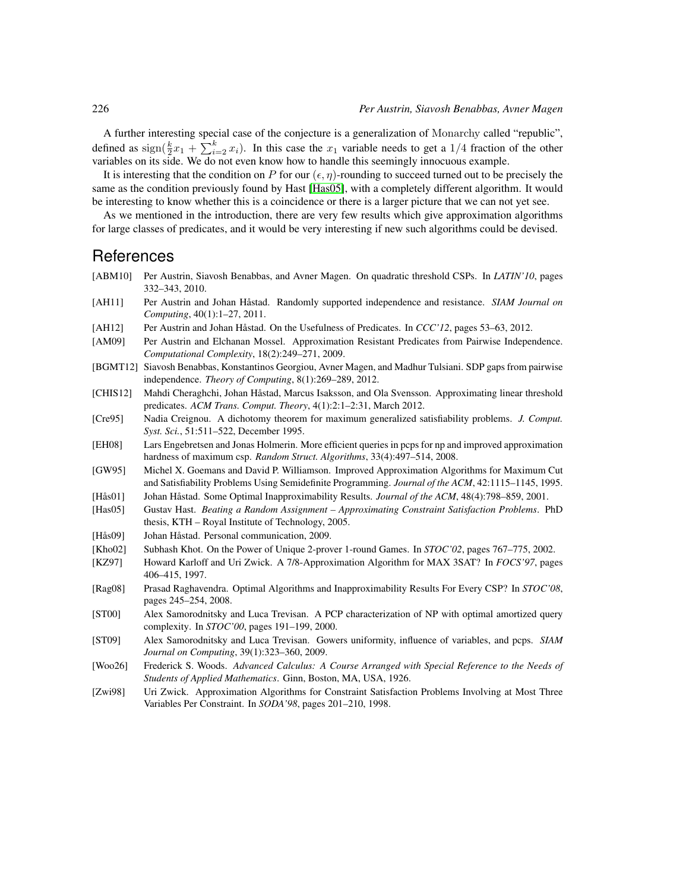A further interesting special case of the conjecture is a generalization of Monarchy called "republic", defined as  $sign(\frac{k}{2}x_1 + \sum_{i=2}^k x_i)$ . In this case the  $x_1$  variable needs to get a 1/4 fraction of the other variables on its side. We do not even know how to handle this seemingly innocuous example.

It is interesting that the condition on P for our  $(\epsilon, \eta)$ -rounding to succeed turned out to be precisely the same as the condition previously found by Hast [\[Has05\]](#page-21-4), with a completely different algorithm. It would be interesting to know whether this is a coincidence or there is a larger picture that we can not yet see.

As we mentioned in the introduction, there are very few results which give approximation algorithms for large classes of predicates, and it would be very interesting if new such algorithms could be devised.

### References

- <span id="page-21-0"></span>[ABM10] Per Austrin, Siavosh Benabbas, and Avner Magen. On quadratic threshold CSPs. In *LATIN'10*, pages 332–343, 2010.
- <span id="page-21-11"></span>[AH11] Per Austrin and Johan Håstad. Randomly supported independence and resistance. *SIAM Journal on Computing*, 40(1):1–27, 2011.
- <span id="page-21-14"></span>[AH12] Per Austrin and Johan Håstad. On the Usefulness of Predicates. In *CCC'12*, pages 53–63, 2012.
- <span id="page-21-9"></span>[AM09] Per Austrin and Elchanan Mossel. Approximation Resistant Predicates from Pairwise Independence. *Computational Complexity*, 18(2):249–271, 2009.
- <span id="page-21-12"></span>[BGMT12] Siavosh Benabbas, Konstantinos Georgiou, Avner Magen, and Madhur Tulsiani. SDP gaps from pairwise independence. *Theory of Computing*, 8(1):269–289, 2012.
- <span id="page-21-16"></span>[CHIS12] Mahdi Cheraghchi, Johan Håstad, Marcus Isaksson, and Ola Svensson. Approximating linear threshold predicates. *ACM Trans. Comput. Theory*, 4(1):2:1–2:31, March 2012.
- <span id="page-21-13"></span>[Cre95] Nadia Creignou. A dichotomy theorem for maximum generalized satisfiability problems. *J. Comput. Syst. Sci.*, 51:511–522, December 1995.
- <span id="page-21-7"></span>[EH08] Lars Engebretsen and Jonas Holmerin. More efficient queries in pcps for np and improved approximation hardness of maximum csp. *Random Struct. Algorithms*, 33(4):497–514, 2008.
- <span id="page-21-1"></span>[GW95] Michel X. Goemans and David P. Williamson. Improved Approximation Algorithms for Maximum Cut and Satisfiability Problems Using Semidefinite Programming. *Journal of the ACM*, 42:1115–1145, 1995.
- <span id="page-21-2"></span>[Hås01] Johan Håstad. Some Optimal Inapproximability Results. *Journal of the ACM*, 48(4):798–859, 2001.
- <span id="page-21-4"></span>[Has05] Gustav Hast. *Beating a Random Assignment – Approximating Constraint Satisfaction Problems*. PhD thesis, KTH – Royal Institute of Technology, 2005.
- <span id="page-21-15"></span>[Hås09] Johan Håstad. Personal communication, 2009.
- <span id="page-21-10"></span>[Kho02] Subhash Khot. On the Power of Unique 2-prover 1-round Games. In *STOC'02*, pages 767–775, 2002.
- <span id="page-21-17"></span>[KZ97] Howard Karloff and Uri Zwick. A 7/8-Approximation Algorithm for MAX 3SAT? In *FOCS'97*, pages 406–415, 1997.
- <span id="page-21-5"></span>[Rag08] Prasad Raghavendra. Optimal Algorithms and Inapproximability Results For Every CSP? In *STOC'08*, pages 245–254, 2008.
- <span id="page-21-6"></span>[ST00] Alex Samorodnitsky and Luca Trevisan. A PCP characterization of NP with optimal amortized query complexity. In *STOC'00*, pages 191–199, 2000.
- <span id="page-21-8"></span>[ST09] Alex Samorodnitsky and Luca Trevisan. Gowers uniformity, influence of variables, and pcps. *SIAM Journal on Computing*, 39(1):323–360, 2009.
- <span id="page-21-18"></span>[Woo26] Frederick S. Woods. *Advanced Calculus: A Course Arranged with Special Reference to the Needs of Students of Applied Mathematics*. Ginn, Boston, MA, USA, 1926.
- <span id="page-21-3"></span>[Zwi98] Uri Zwick. Approximation Algorithms for Constraint Satisfaction Problems Involving at Most Three Variables Per Constraint. In *SODA'98*, pages 201–210, 1998.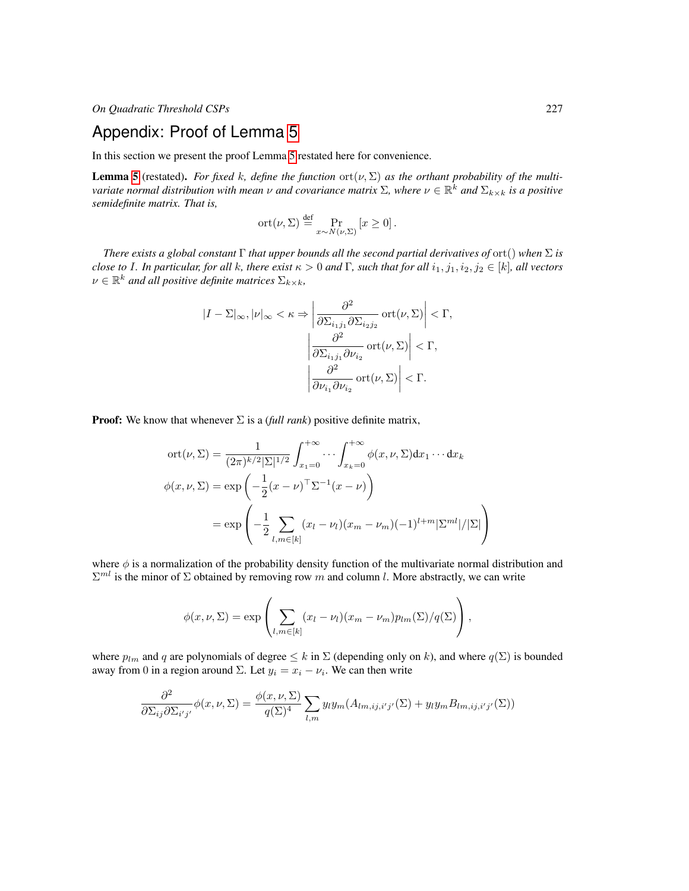# Appendix: Proof of Lemma [5](#page-11-0)

In this section we present the proof Lemma [5](#page-11-0) restated here for convenience.

**Lemma [5](#page-11-0)** (restated). *For fixed k, define the function*  $\text{ort}(\nu, \Sigma)$  *as the orthant probability of the multivariate normal distribution with mean* ν *and covariance matrix* Σ, where  $ν ∈ ℝ<sup>k</sup>$  *and*  $Σ<sub>k×k</sub>$  *is a positive semidefinite matrix. That is,*

$$
ort(\nu, \Sigma) \stackrel{\text{def}}{=} \Pr_{x \sim N(\nu, \Sigma)} [x \ge 0].
$$

*There exists a global constant* Γ *that upper bounds all the second partial derivatives of* ort() *when* Σ *is close to* I. In particular, for all k, there exist  $\kappa > 0$  and  $\Gamma$ , such that for all  $i_1, j_1, i_2, j_2 \in [k]$ , all vectors  $\nu \in \mathbb{R}^k$  and all positive definite matrices  $\Sigma_{k\times k}$ ,

$$
|I - \Sigma|_{\infty}, |\nu|_{\infty} < \kappa \Rightarrow \left| \frac{\partial^2}{\partial \Sigma_{i_1 j_1} \partial \Sigma_{i_2 j_2}} \operatorname{ort}(\nu, \Sigma) \right| < \Gamma,
$$

$$
\left| \frac{\partial^2}{\partial \Sigma_{i_1 j_1} \partial \nu_{i_2}} \operatorname{ort}(\nu, \Sigma) \right| < \Gamma,
$$

$$
\left| \frac{\partial^2}{\partial \nu_{i_1} \partial \nu_{i_2}} \operatorname{ort}(\nu, \Sigma) \right| < \Gamma.
$$

**Proof:** We know that whenever  $\Sigma$  is a *(full rank)* positive definite matrix,

$$
ort(\nu, \Sigma) = \frac{1}{(2\pi)^{k/2} |\Sigma|^{1/2}} \int_{x_1=0}^{+\infty} \cdots \int_{x_k=0}^{+\infty} \phi(x, \nu, \Sigma) dx_1 \cdots dx_k
$$
  

$$
\phi(x, \nu, \Sigma) = \exp\left(-\frac{1}{2} (x - \nu)^{\top} \Sigma^{-1} (x - \nu)\right)
$$
  

$$
= \exp\left(-\frac{1}{2} \sum_{l,m \in [k]} (x_l - \nu_l)(x_m - \nu_m)(-1)^{l+m} |\Sigma^{ml}|/|\Sigma|\right)
$$

where  $\phi$  is a normalization of the probability density function of the multivariate normal distribution and  $\Sigma^{ml}$  is the minor of  $\Sigma$  obtained by removing row m and column l. More abstractly, we can write

$$
\phi(x,\nu,\Sigma) = \exp\left(\sum_{l,m\in[k]}(x_l-\nu_l)(x_m-\nu_m)p_{lm}(\Sigma)/q(\Sigma)\right),\,
$$

where  $p_{lm}$  and q are polynomials of degree  $\leq k$  in  $\Sigma$  (depending only on k), and where  $q(\Sigma)$  is bounded away from 0 in a region around  $\Sigma$ . Let  $y_i = x_i - \nu_i$ . We can then write

$$
\frac{\partial^2}{\partial \Sigma_{ij} \partial \Sigma_{i'j'}} \phi(x, \nu, \Sigma) = \frac{\phi(x, \nu, \Sigma)}{q(\Sigma)^4} \sum_{l,m} y_l y_m (A_{lm,ij,i'j'}(\Sigma) + y_l y_m B_{lm,ij,i'j'}(\Sigma))
$$